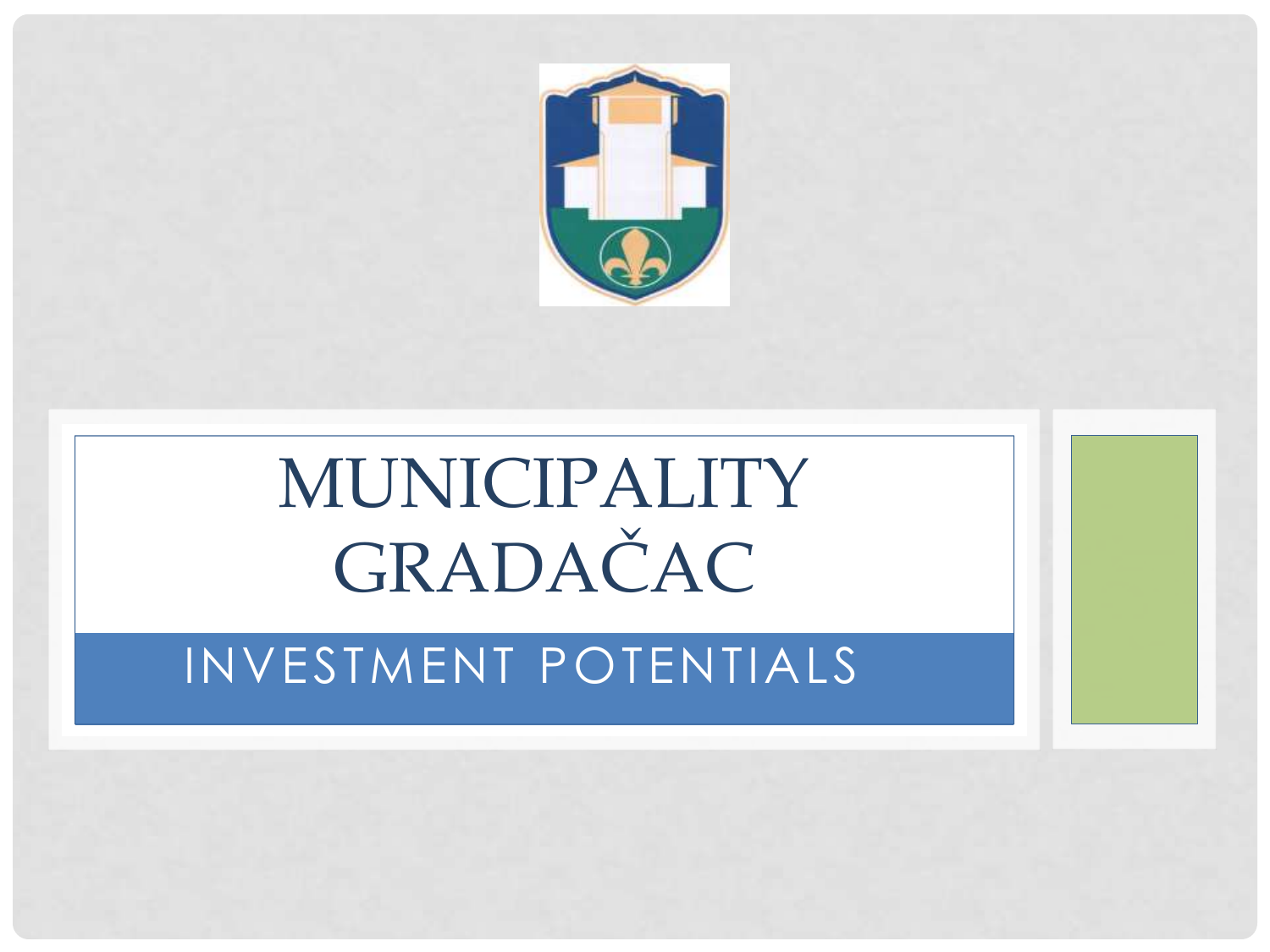

# MUNICIPALITY GRADAČAC

### INVESTMENT POTENTIALS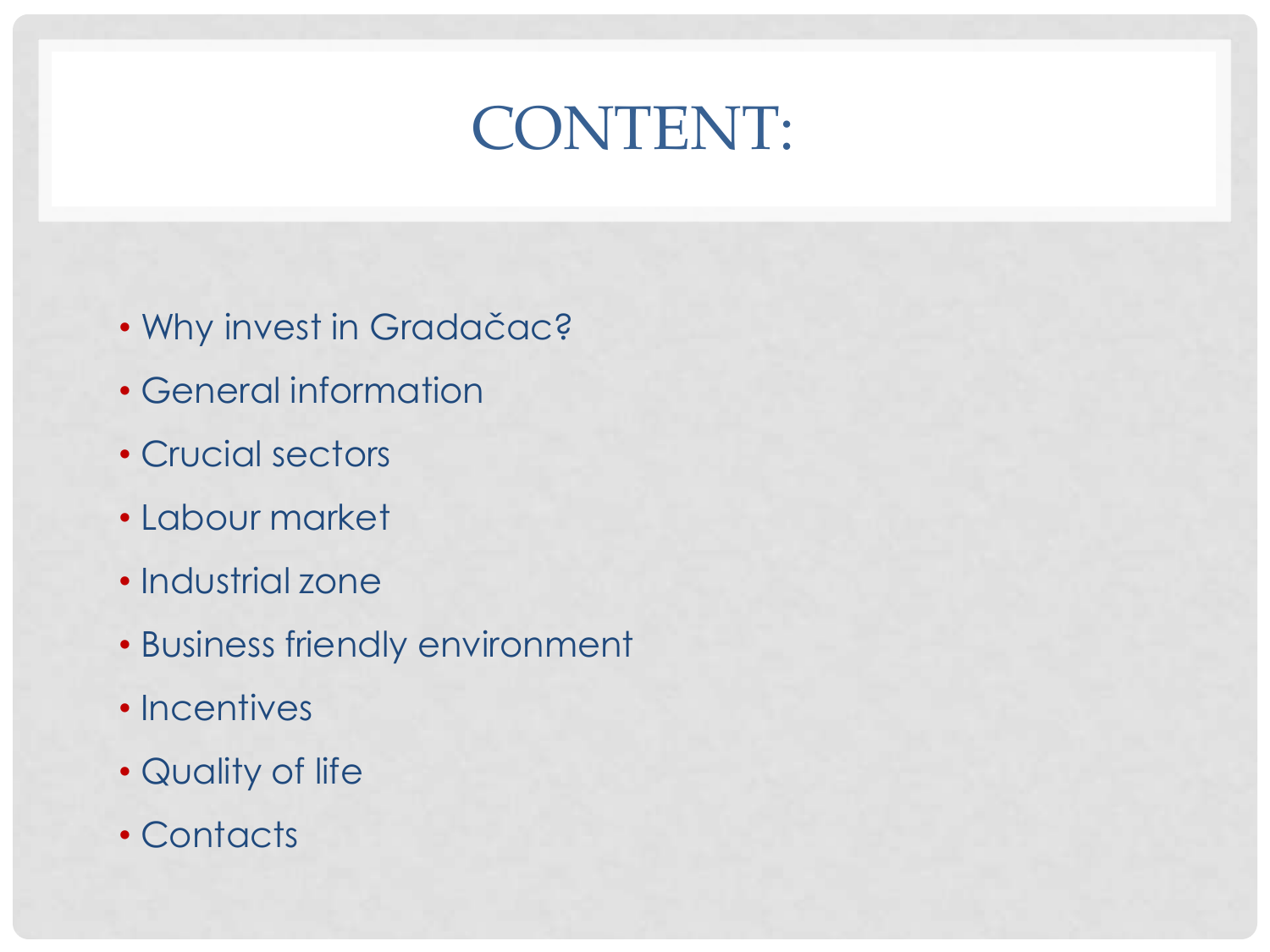# CONTENT:

- Why invest in Gradačac?
- General information
- Crucial sectors
- Labour market
- Industrial zone
- Business friendly environment
- Incentives
- Quality of life
- Contacts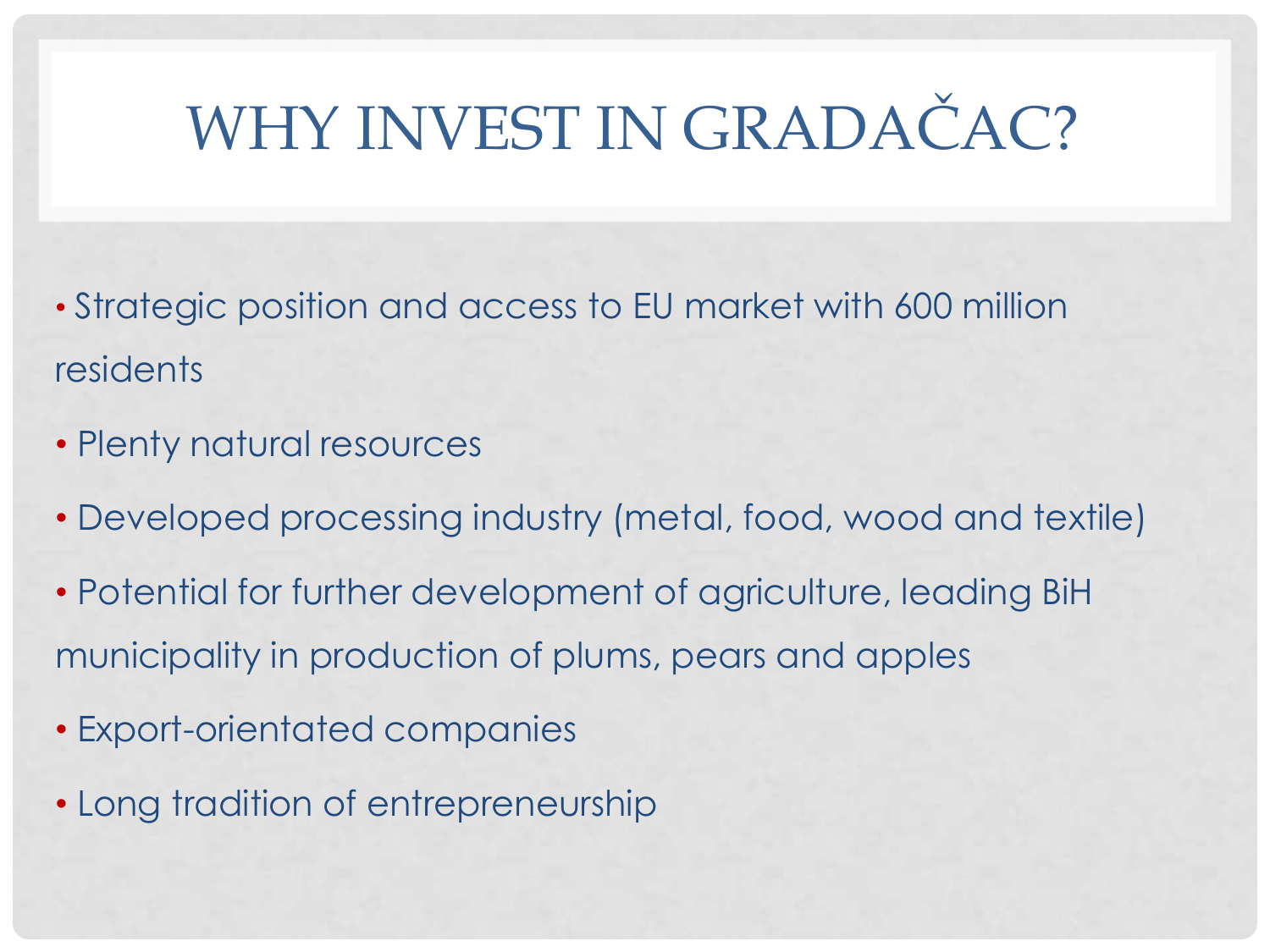# WHY INVEST IN GRADAČAC?

- Strategic position and access to EU market with 600 million residents
- Plenty natural resources
- Developed processing industry (metal, food, wood and textile)
- Potential for further development of agriculture, leading BiH municipality in production of plums, pears and apples
- Export-orientated companies
- Long tradition of entrepreneurship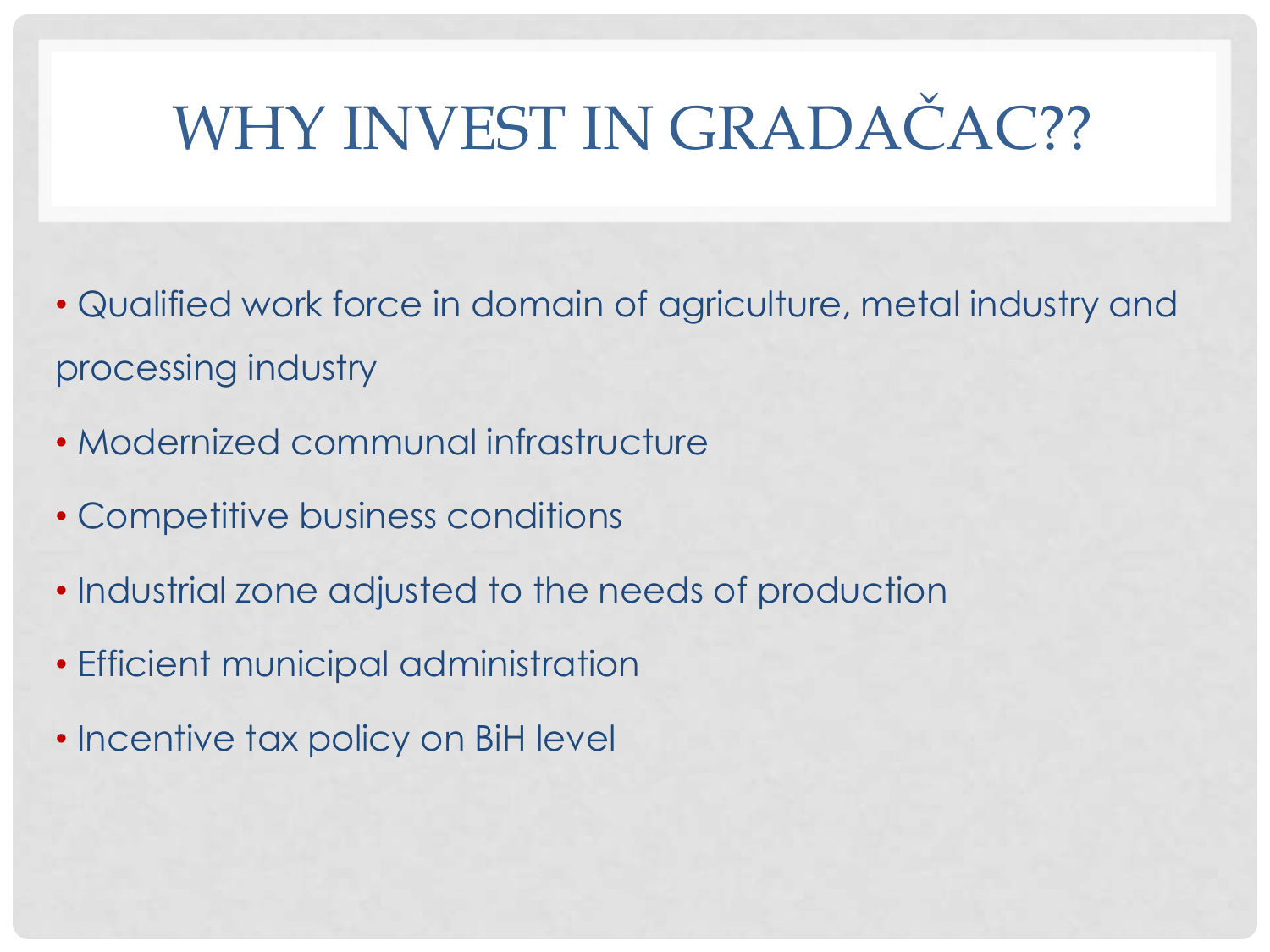# WHY INVEST IN GRADAČAC??

- Qualified work force in domain of agriculture, metal industry and processing industry
- Modernized communal infrastructure
- Competitive business conditions
- Industrial zone adjusted to the needs of production
- Efficient municipal administration
- Incentive tax policy on BiH level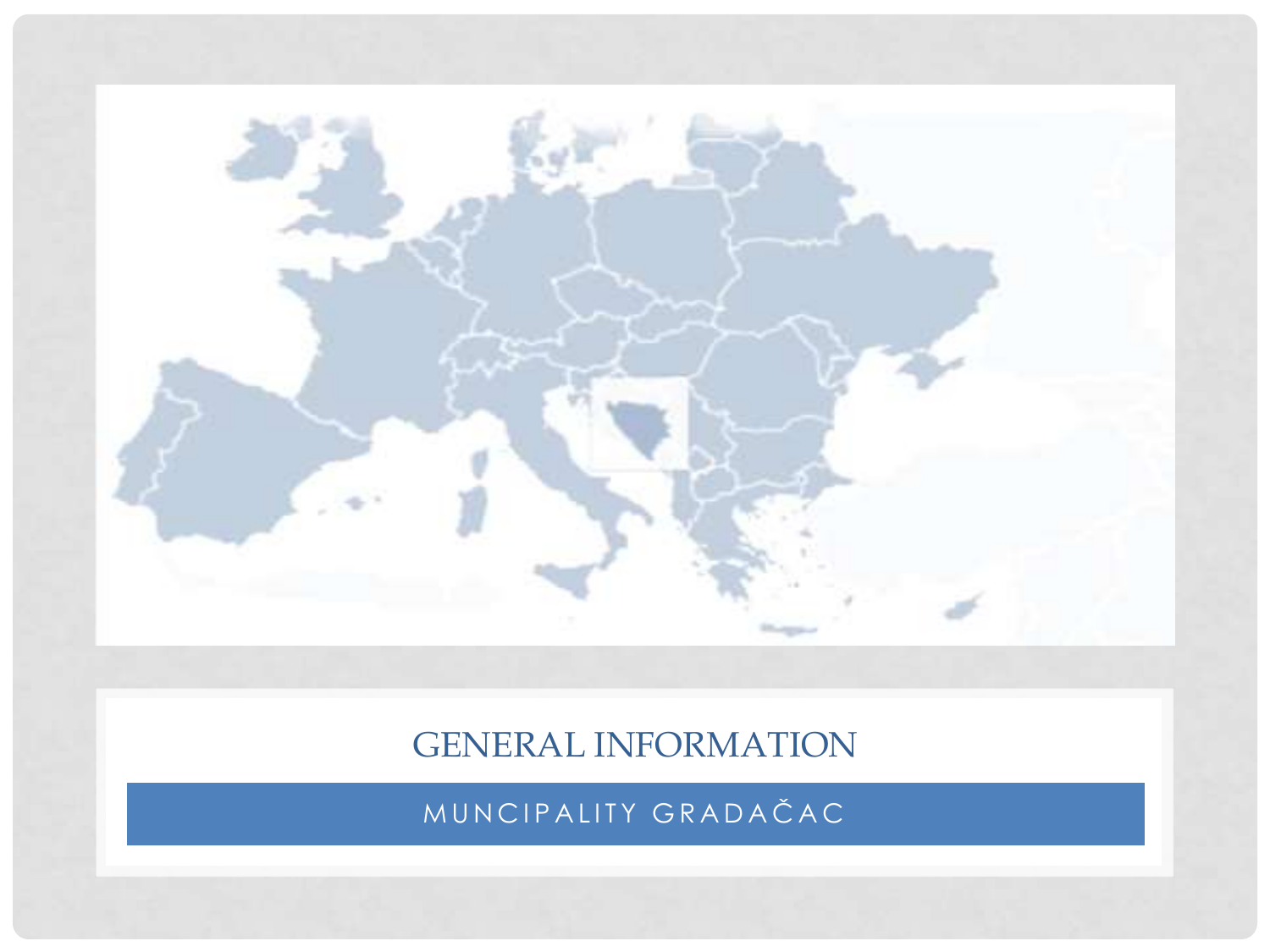

### GENERAL INFORMATION

MUNCIPALITY GRADAČAC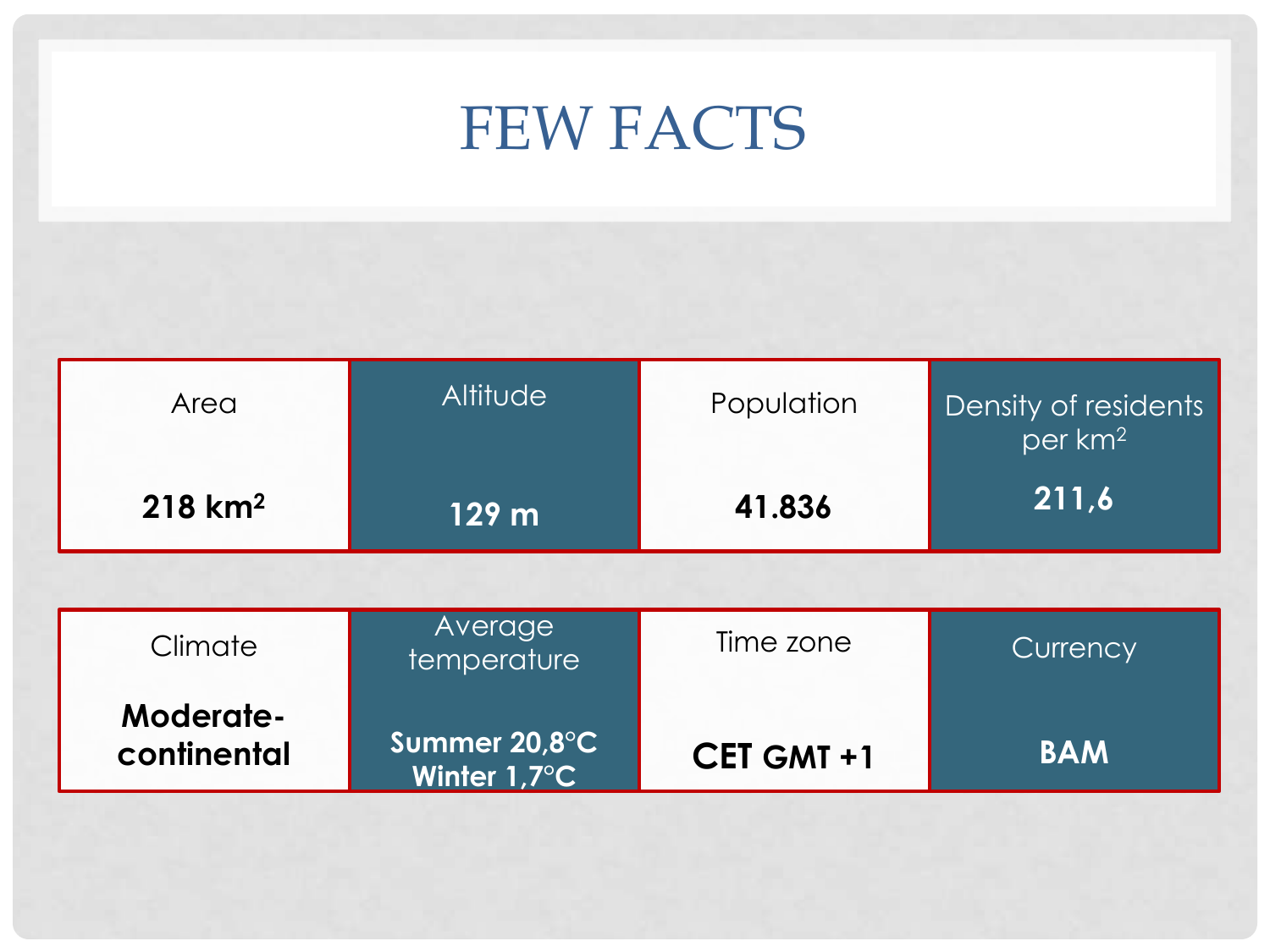# FEW FACTS

| Area                  | <b>Altitude</b> | Population | <b>Density of residents</b><br>$\overline{1}$ per km <sup>2</sup> |
|-----------------------|-----------------|------------|-------------------------------------------------------------------|
| $218$ km <sup>2</sup> | 129 m           | 41.836     | 211,6                                                             |

| Climate                  | Average<br>temperature        | Time zone  | Currency   |
|--------------------------|-------------------------------|------------|------------|
| Moderate-<br>continental | Summer 20,8°C<br>Winter 1,7°C | CET GMT +1 | <b>BAM</b> |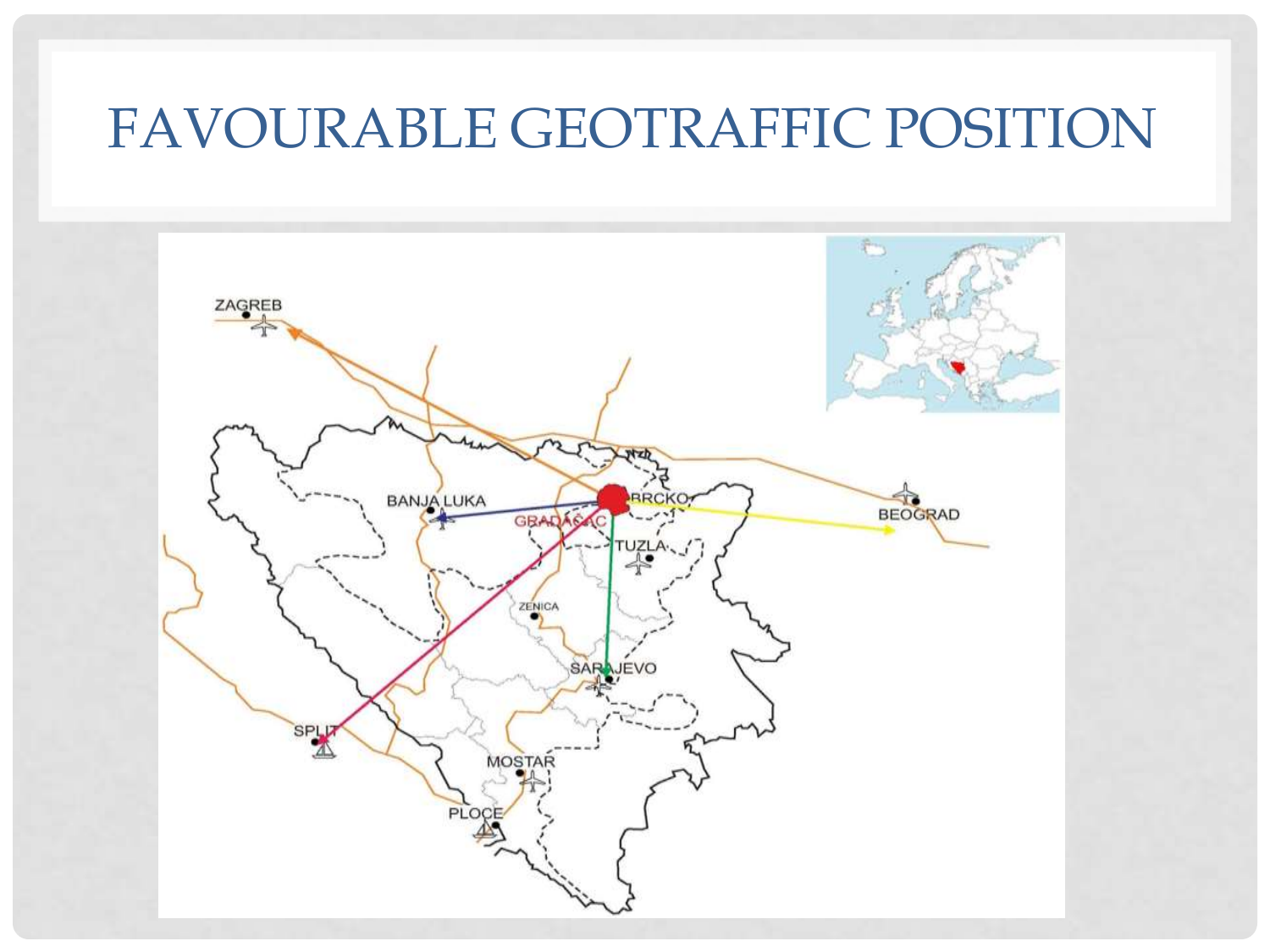### FAVOURABLE GEOTRAFFIC POSITION

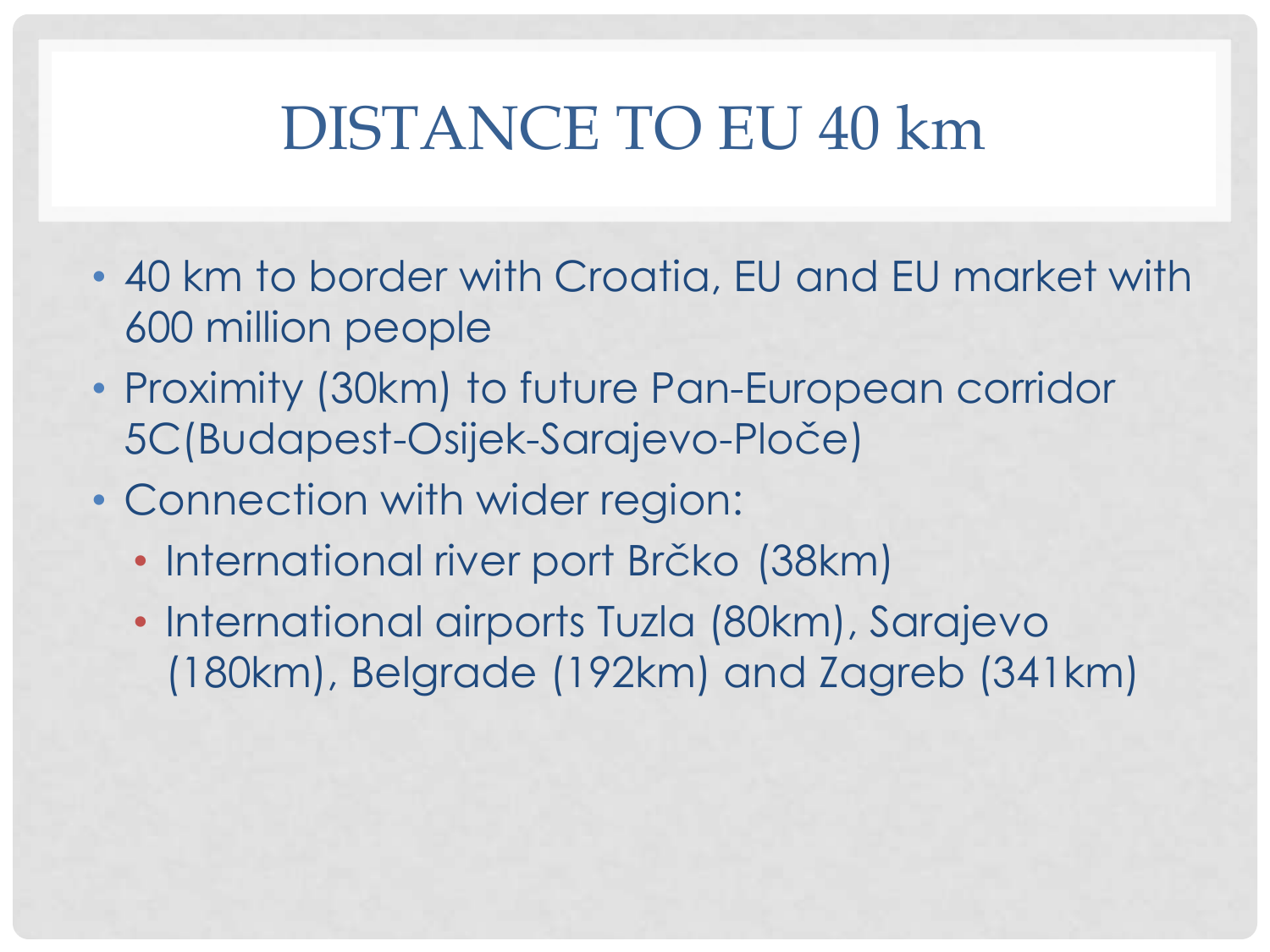## DISTANCE TO EU 40 km

- 40 km to border with Croatia, EU and EU market with 600 million people
- Proximity (30km) to future Pan-European corridor 5C(Budapest-Osijek-Sarajevo-Ploče)
- Connection with wider region:
	- International river port Brčko (38km)
	- International airports Tuzla (80km), Sarajevo (180km), Belgrade (192km) and Zagreb (341km)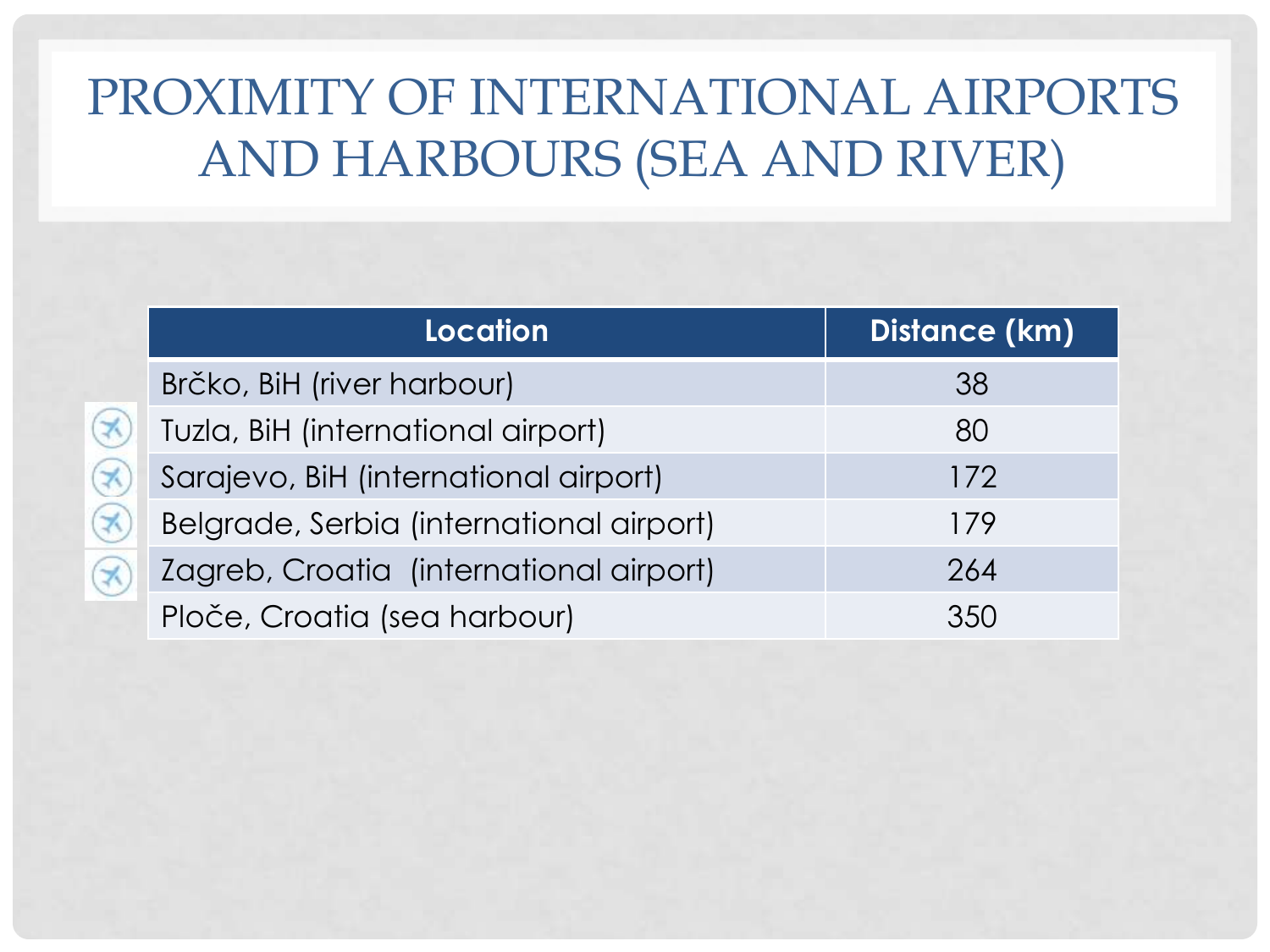### PROXIMITY OF INTERNATIONAL AIRPORTS AND HARBOURS (SEA AND RIVER)

|                         | <b>Location</b>                          | Distance (km) |
|-------------------------|------------------------------------------|---------------|
|                         | Brčko, BiH (river harbour)               | 38            |
| $\blacktriangleright$   | Tuzla, BiH (international airport)       | 80            |
| $\overline{\mathbf{X}}$ | Sarajevo, BiH (international airport)    | 172           |
| X                       | Belgrade, Serbia (international airport) | 179           |
|                         | Zagreb, Croatia (international airport)  | 264           |
|                         | Ploče, Croatia (sea harbour)             | 350           |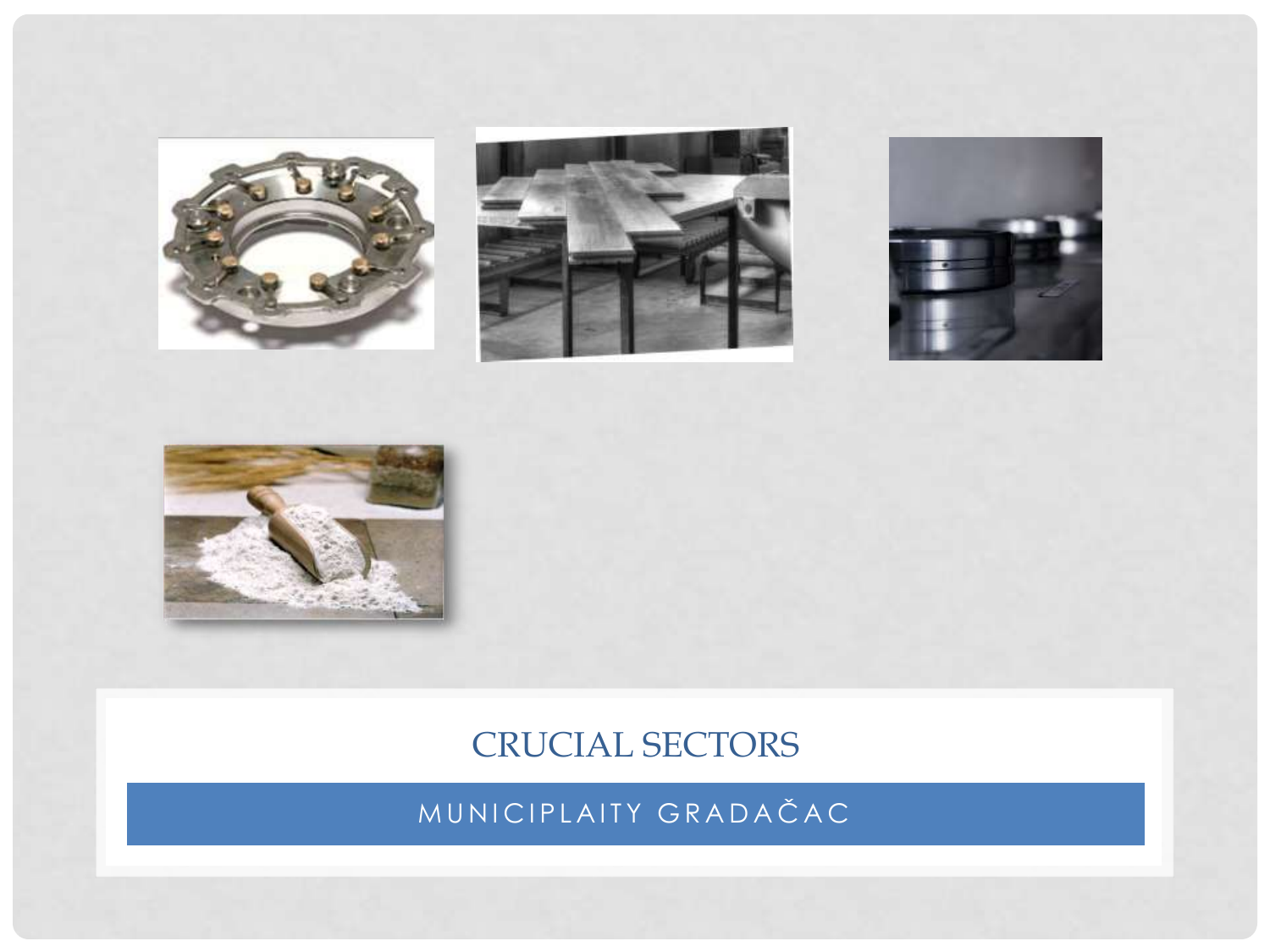







### CRUCIAL SECTORS

MUNICIPLAITY GRADAČAC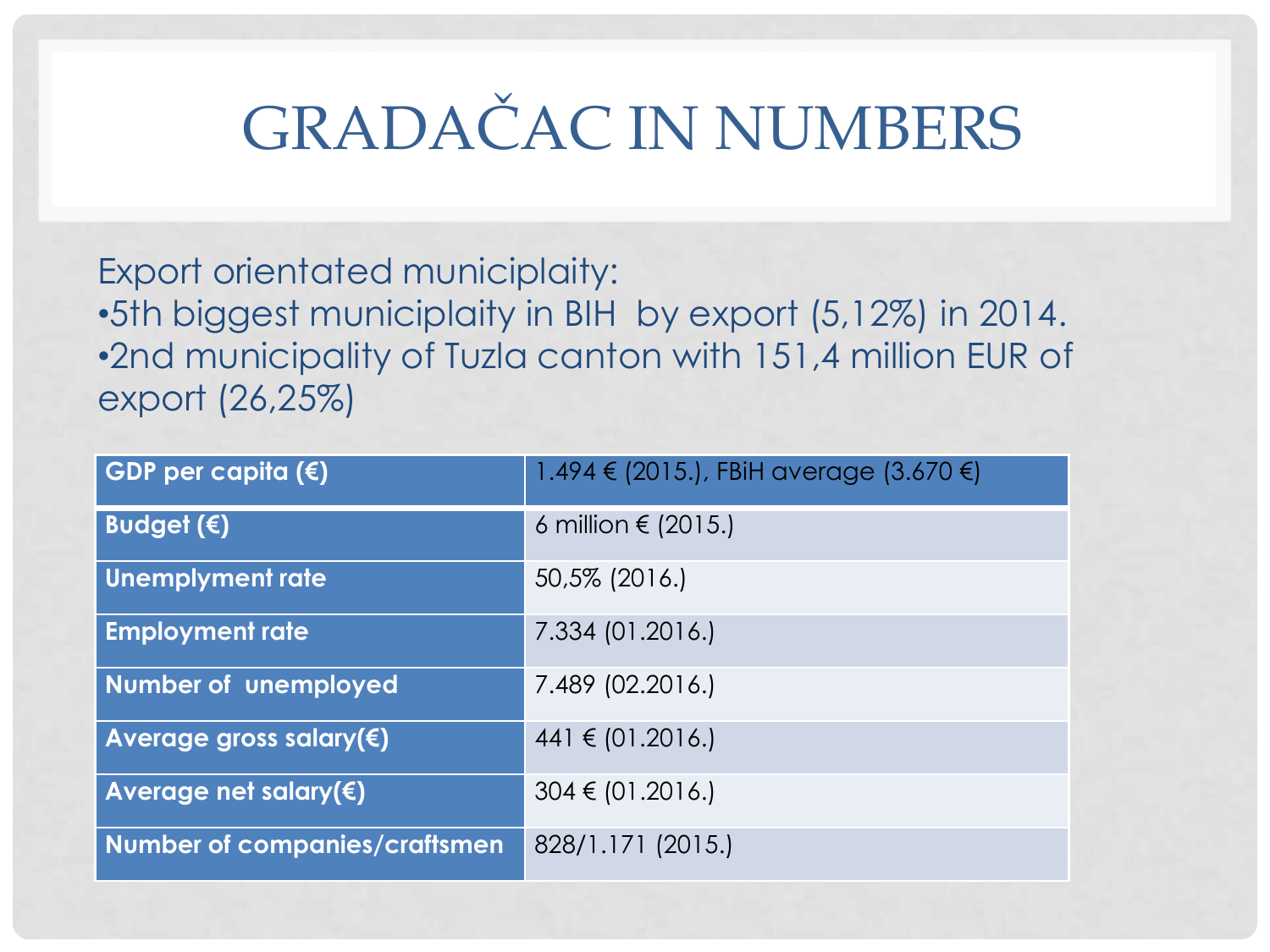# GRADAČAC IN NUMBERS

Export orientated municiplaity: •5th biggest municiplaity in BIH by export (5,12%) in 2014. •2nd municipality of Tuzla canton with 151,4 million EUR of export (26,25%)

| GDP per capita $(\epsilon)$          | 1.494 € (2015.), FBiH average (3.670 €) |
|--------------------------------------|-----------------------------------------|
| Budget $(\epsilon)$                  | 6 million $\in$ (2015.)                 |
| Unemplyment rate                     | 50,5% (2016.)                           |
| <b>Employment rate</b>               | 7.334 (01.2016.)                        |
| <b>Number of unemployed</b>          | 7.489 (02.2016.)                        |
| Average gross salary( $\xi$ )        | $441 \in (01.2016.)$                    |
| Average net salary( $\varepsilon$ )  | $304 \in (01.2016.)$                    |
| <b>Number of companies/craftsmen</b> | 828/1.171 (2015.)                       |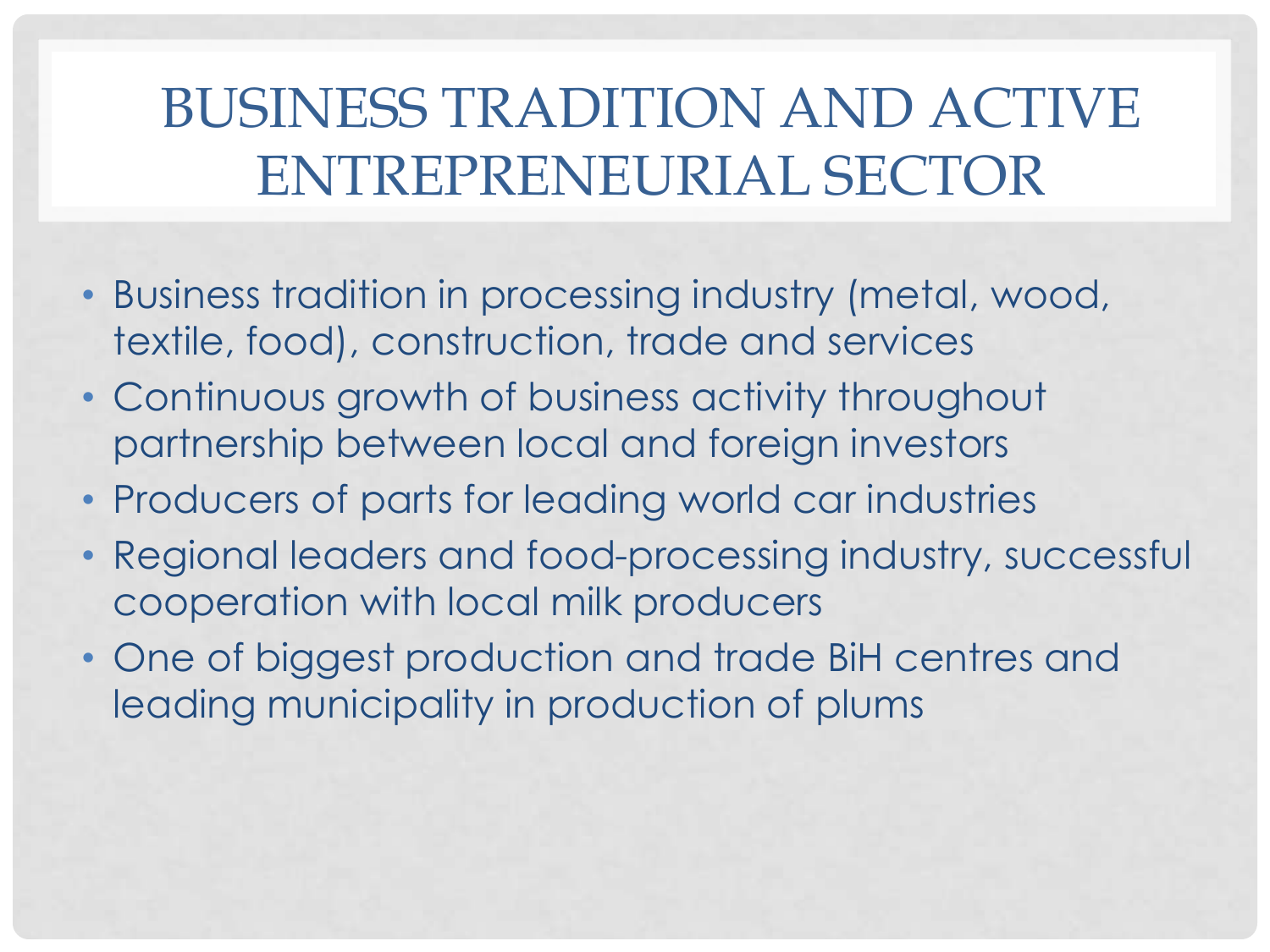## BUSINESS TRADITION AND ACTIVE ENTREPRENEURIAL SECTOR

- Business tradition in processing industry (metal, wood, textile, food), construction, trade and services
- Continuous growth of business activity throughout partnership between local and foreign investors
- Producers of parts for leading world car industries
- Regional leaders and food-processing industry, successful cooperation with local milk producers
- One of biggest production and trade BiH centres and leading municipality in production of plums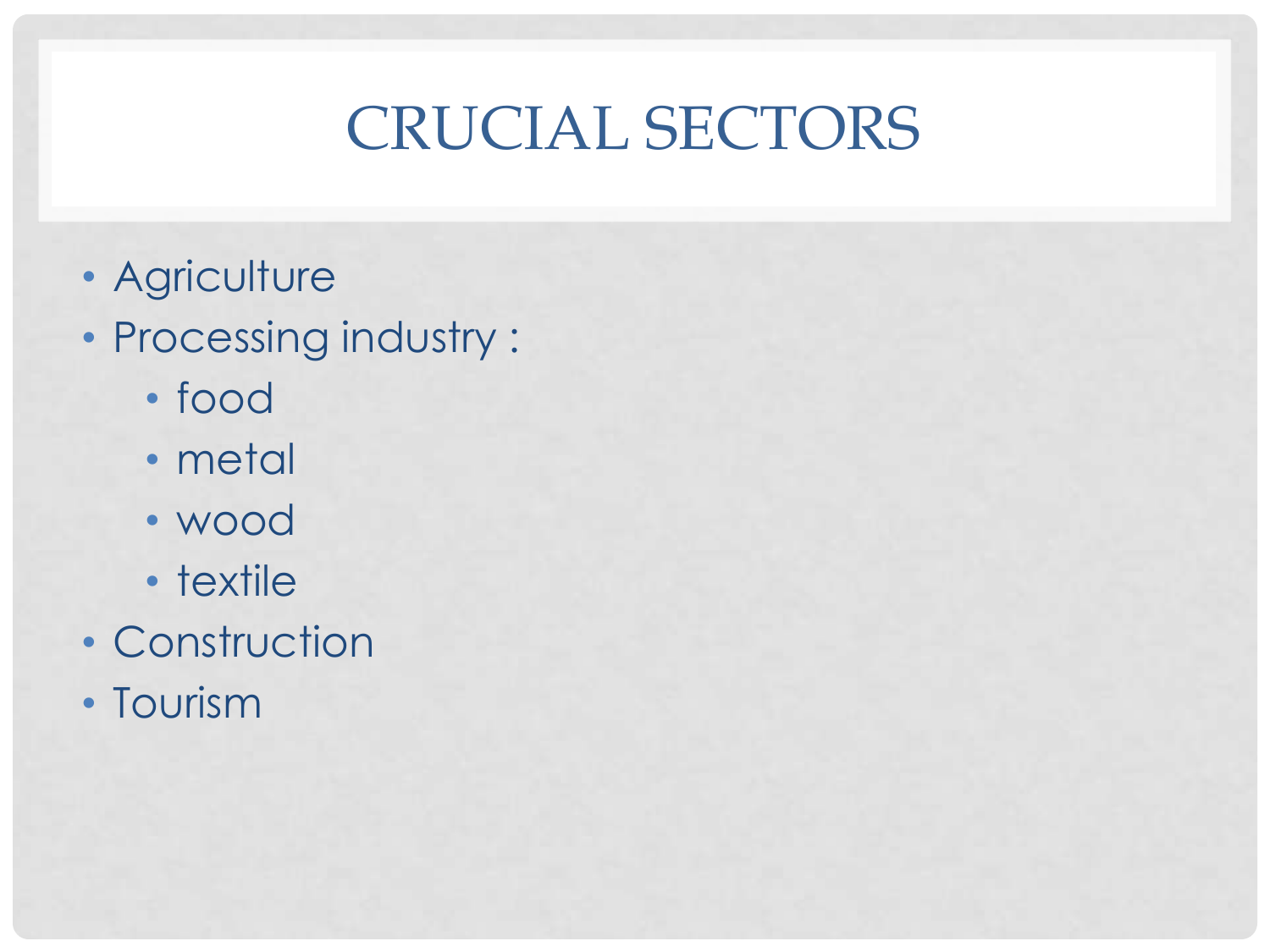# CRUCIAL SECTORS

- Agriculture
- Processing industry :
	- food
	- metal
	- wood
	- textile
- Construction
- Tourism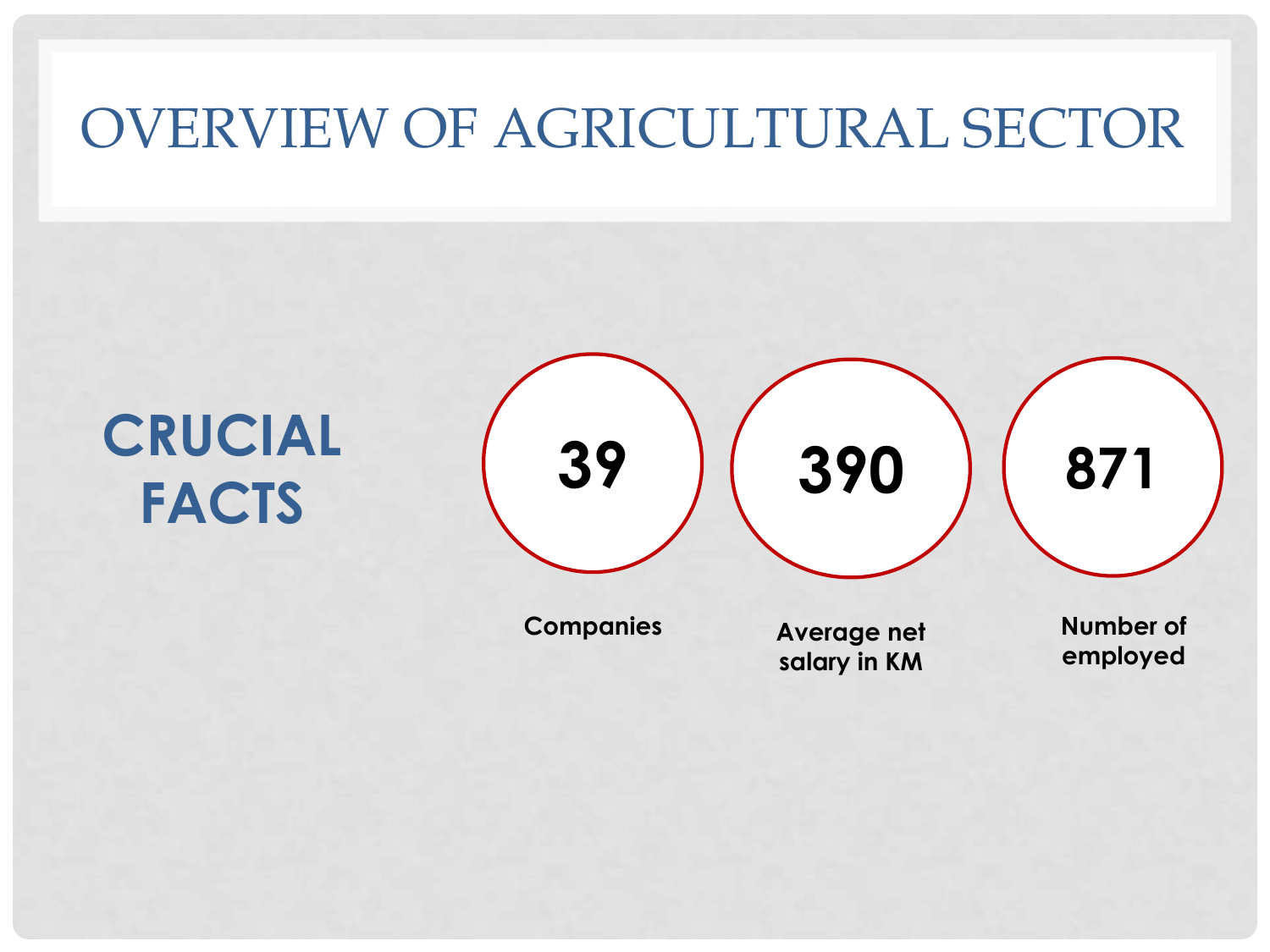### OVERVIEW OF AGRICULTURAL SECTOR

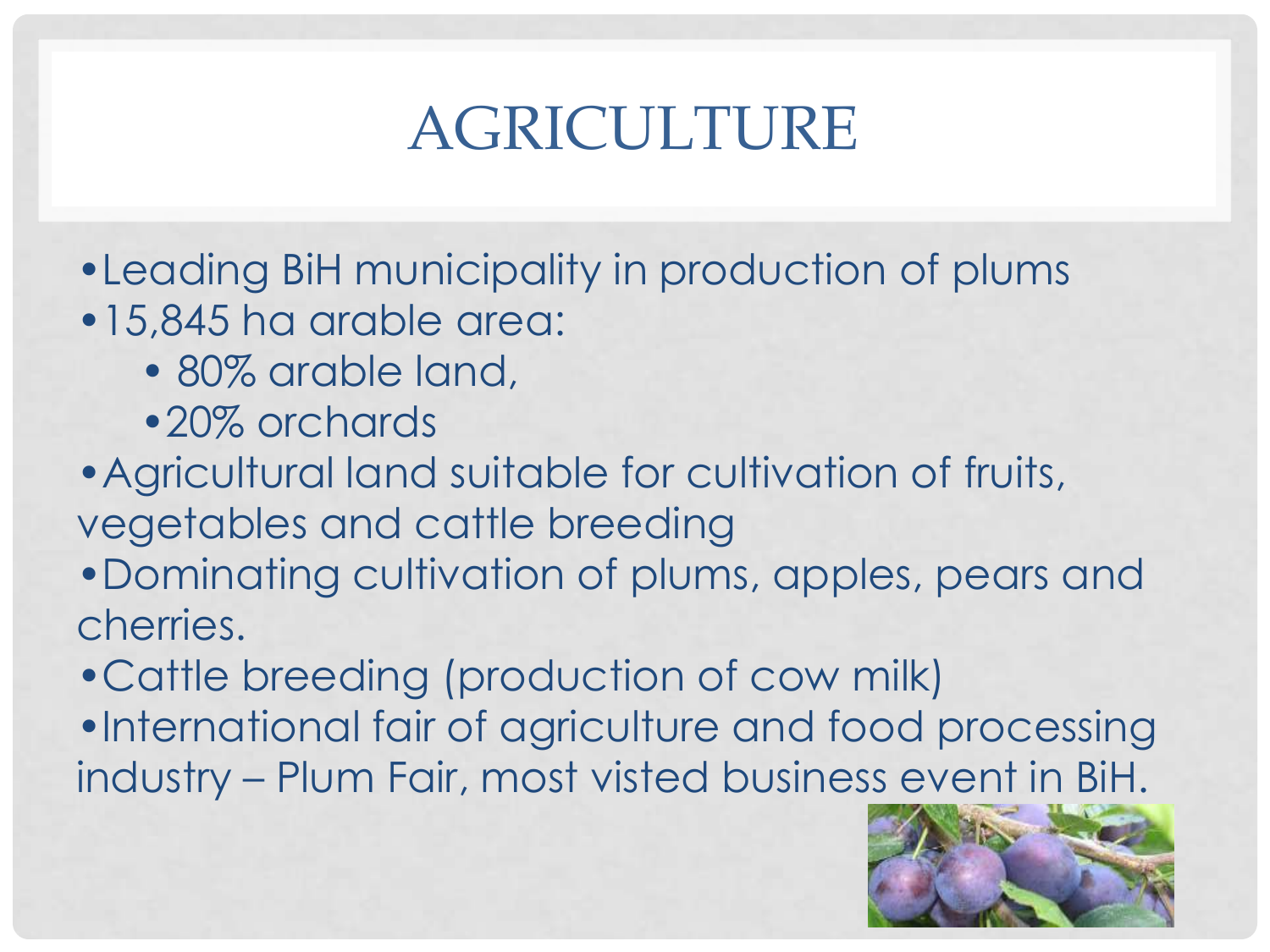# AGRICULTURE

- •Leading BiH municipality in production of plums
- •15,845 ha arable area:
	- 80% arable land,
	- •20% orchards
- •Agricultural land suitable for cultivation of fruits, vegetables and cattle breeding
- •Dominating cultivation of plums, apples, pears and cherries.
- •Cattle breeding (production of cow milk)
- •International fair of agriculture and food processing industry – Plum Fair, most visted business event in BiH.

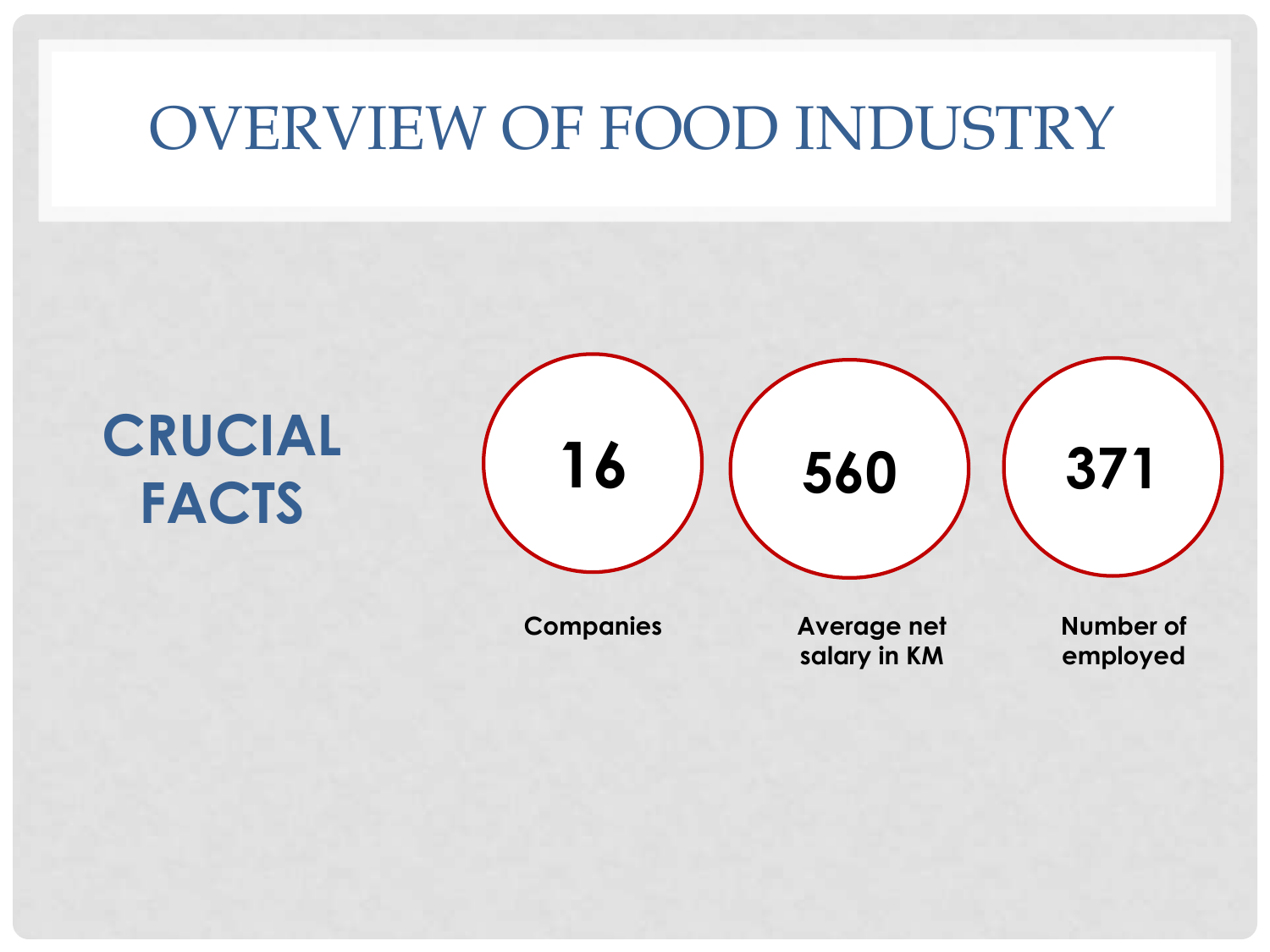## OVERVIEW OF FOOD INDUSTRY

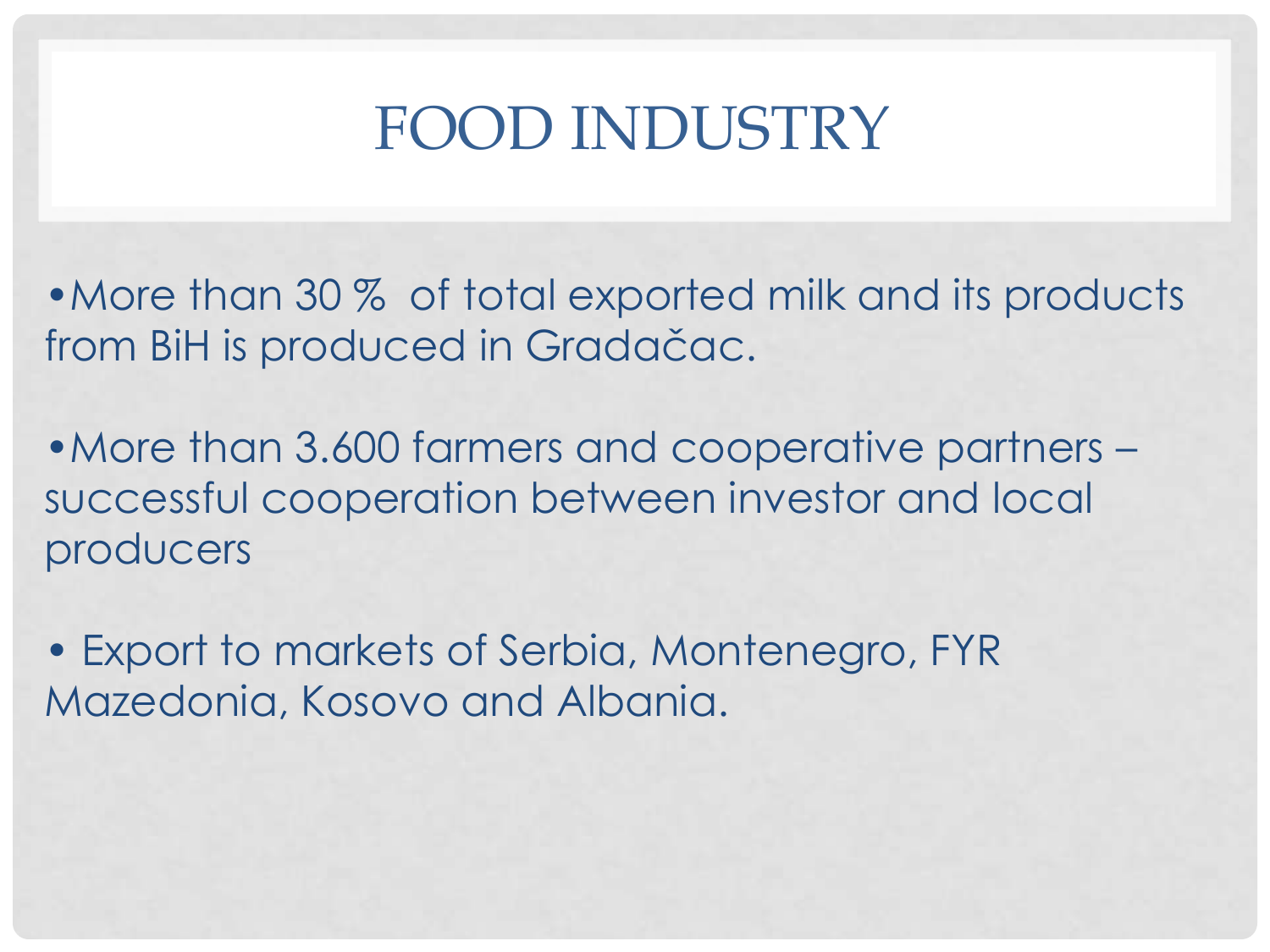# FOOD INDUSTRY

• More than 30 % of total exported milk and its products from BiH is produced in Gradačac.

•More than 3.600 farmers and cooperative partners – successful cooperation between investor and local producers

• Export to markets of Serbia, Montenegro, FYR Mazedonia, Kosovo and Albania.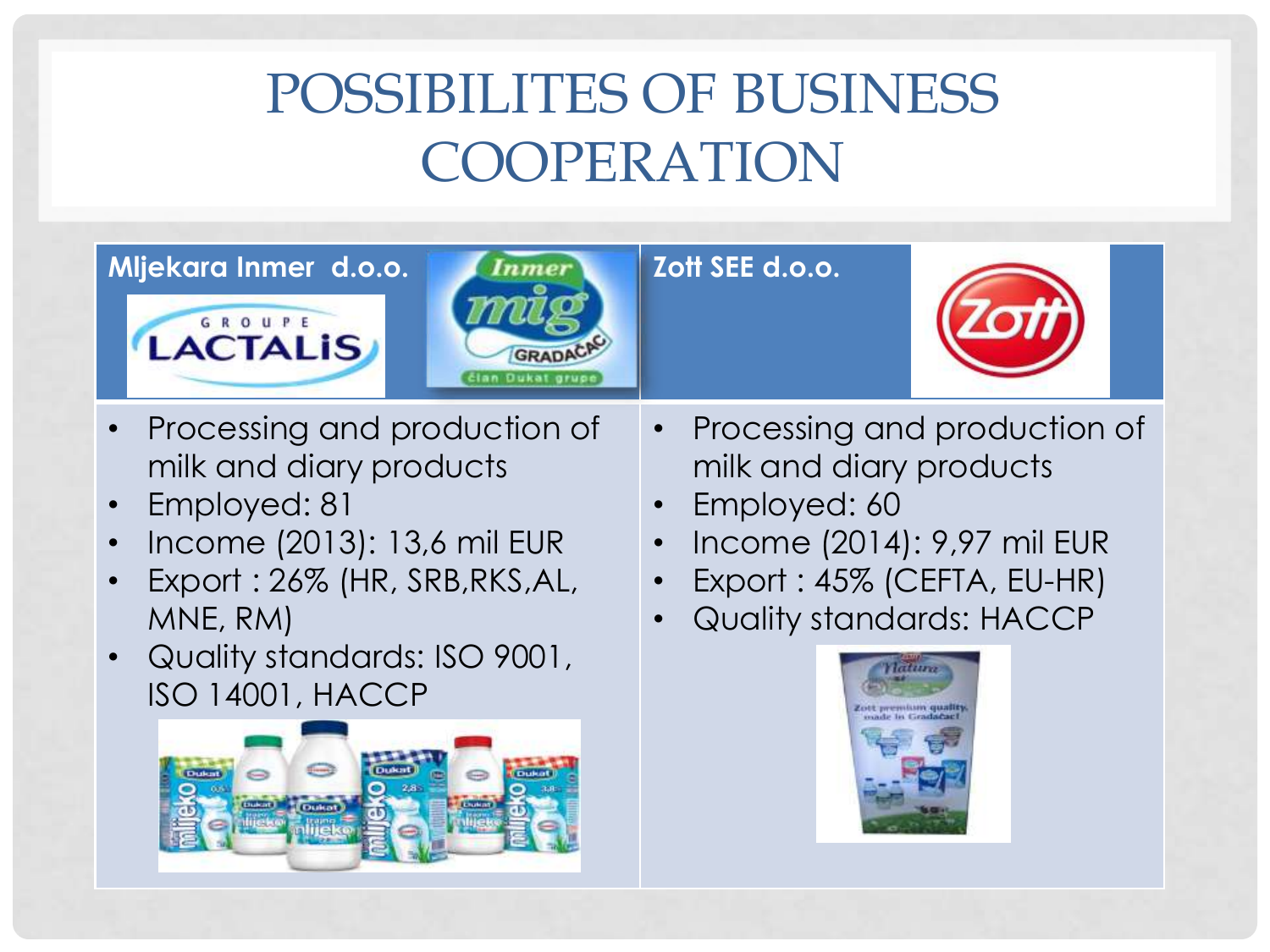# POSSIBILITES OF BUSINESS COOPERATION



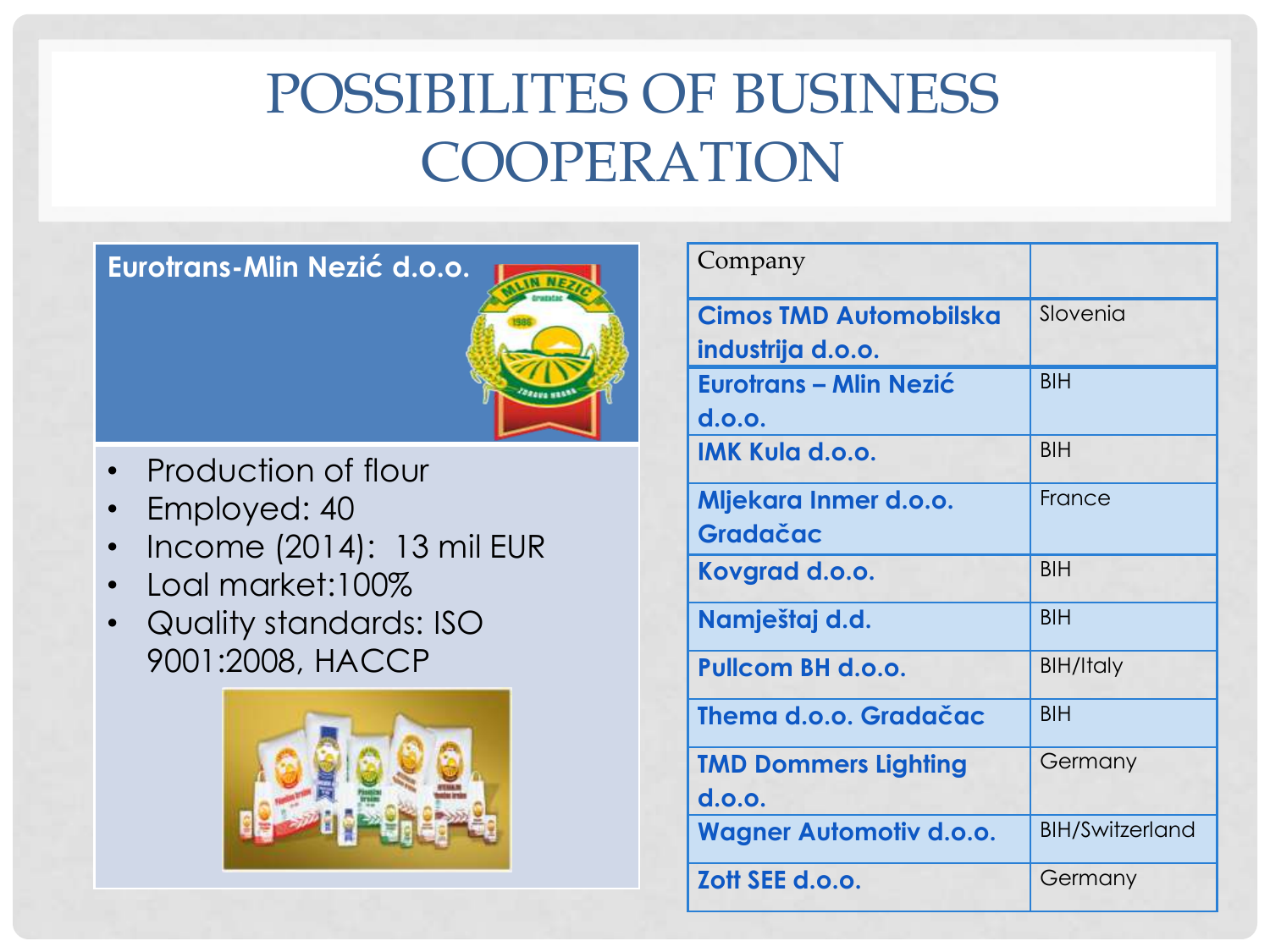## POSSIBILITES OF BUSINESS COOPERATION

**Eurotrans-Mlin Nezić d.o.o.**



- Production of flour
- Employed: 40
- Income (2014): 13 mil EUR
- Loal market:100%
- Quality standards: ISO 9001:2008, HACCP



| Company                        |                        |
|--------------------------------|------------------------|
| <b>Cimos TMD Automobilska</b>  | Slovenia               |
| industrija d.o.o.              |                        |
| Eurotrans – Mlin Nezić         | <b>BIH</b>             |
| d.o.o.                         |                        |
| <b>IMK Kula d.o.o.</b>         | <b>BIH</b>             |
| Mljekara Inmer d.o.o.          | France                 |
| Gradačac                       |                        |
| Kovgrad d.o.o.                 | <b>BIH</b>             |
| Namještaj d.d.                 | <b>BIH</b>             |
| <b>Pullcom BH d.o.o.</b>       | <b>BIH/Italy</b>       |
| Thema d.o.o. Gradačac          | <b>BIH</b>             |
| <b>TMD Dommers Lighting</b>    | Germany                |
| d.o.o.                         |                        |
| <b>Wagner Automotiv d.o.o.</b> | <b>BIH/Switzerland</b> |
| Zott SEE d.o.o.                | Germany                |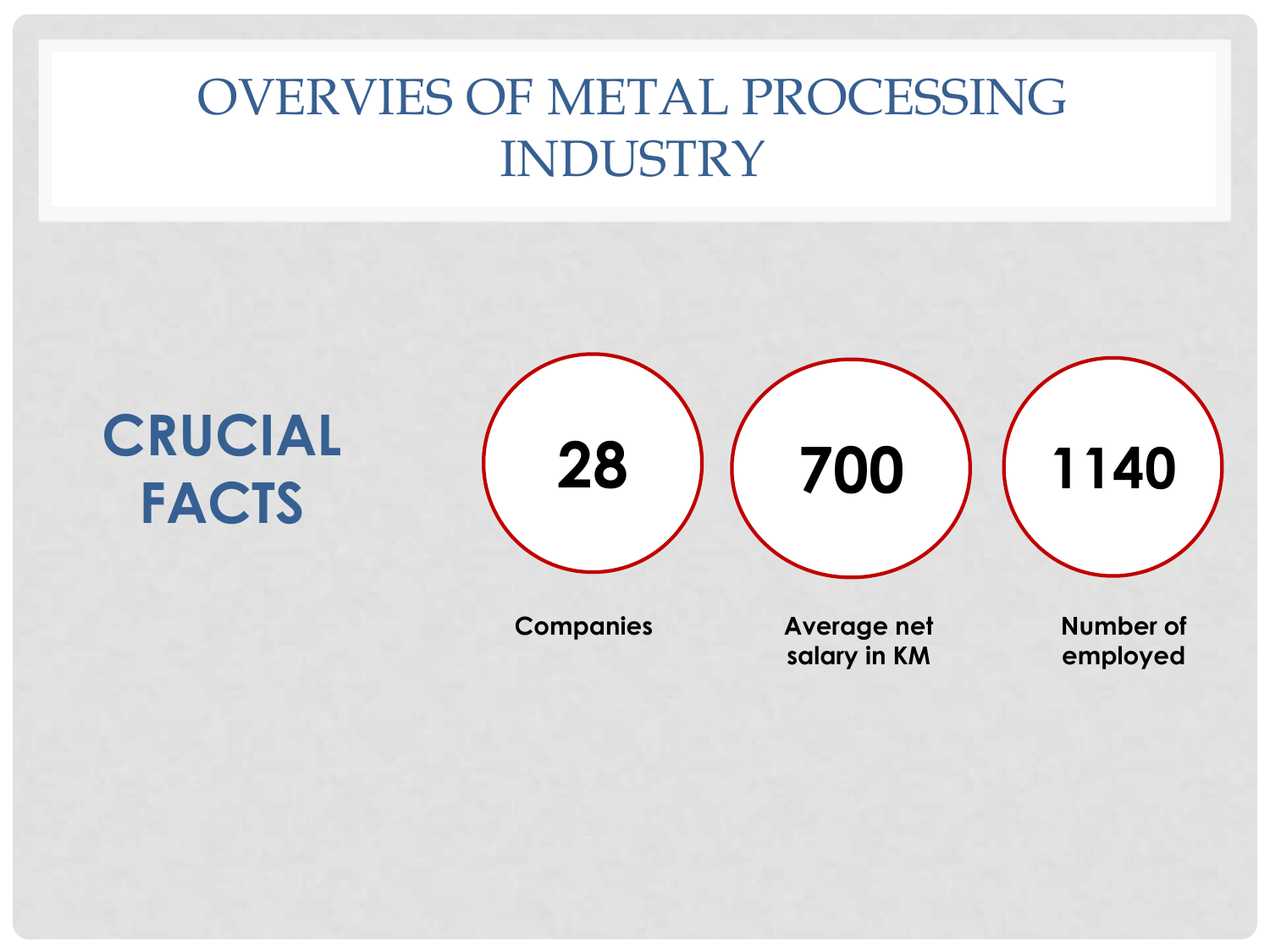### OVERVIES OF METAL PROCESSING INDUSTRY

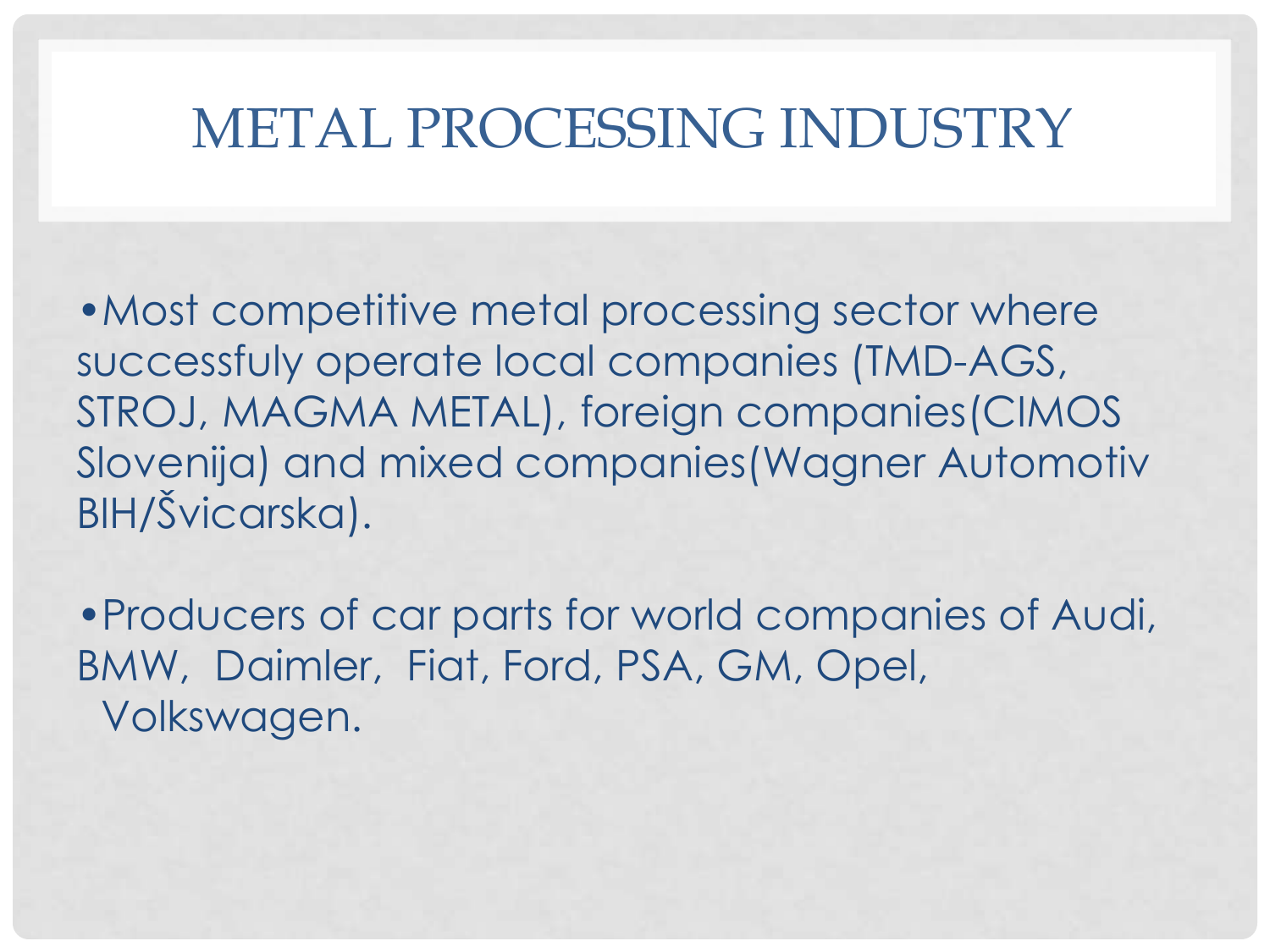### METAL PROCESSING INDUSTRY

• Most competitive metal processing sector where successfuly operate local companies (TMD-AGS, STROJ, MAGMA METAL), foreign companies(CIMOS Slovenija) and mixed companies(Wagner Automotiv BIH/Švicarska).

•Producers of car parts for world companies of Audi, BMW, Daimler, Fiat, Ford, PSA, GM, Opel, Volkswagen.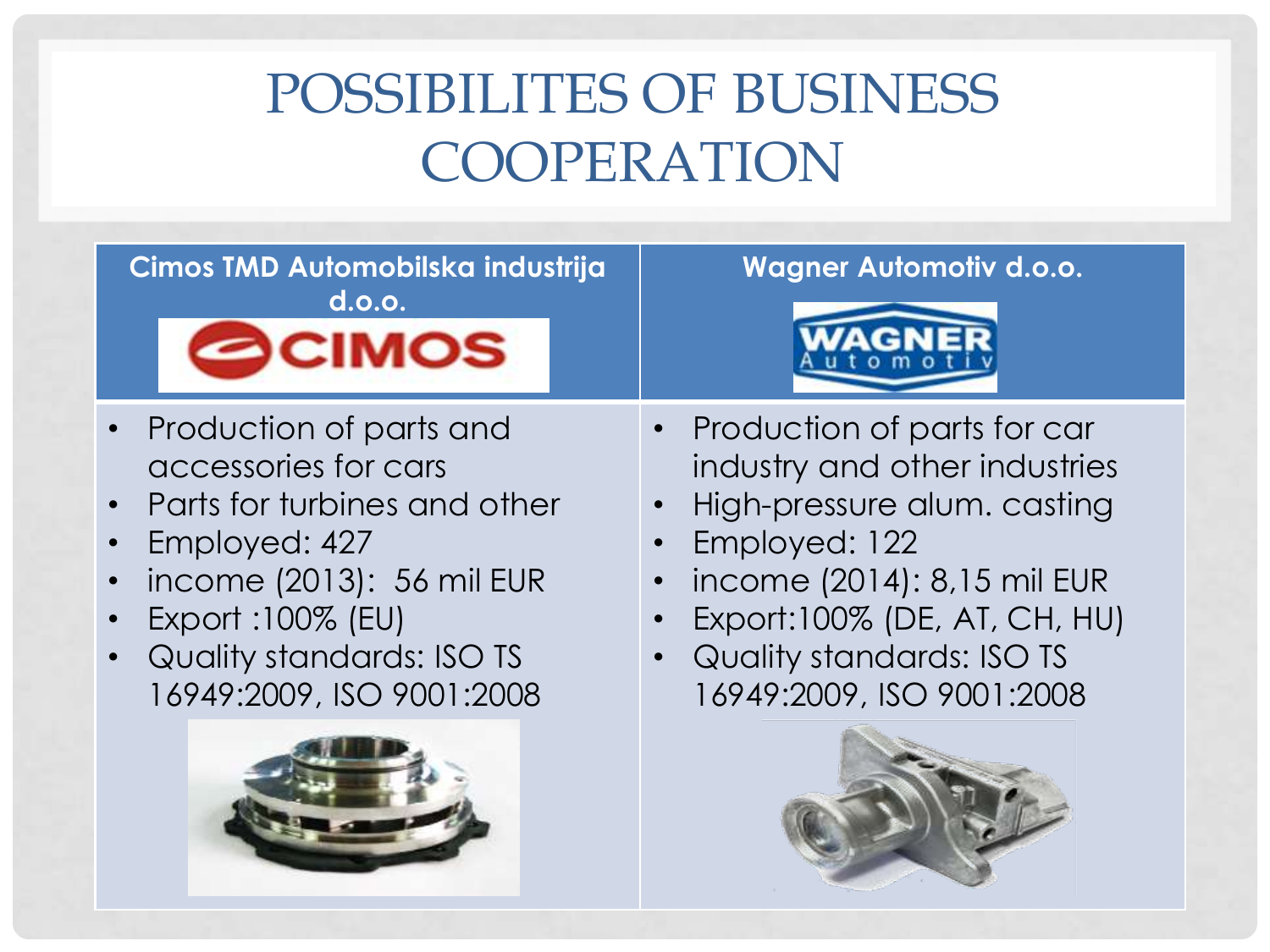# POSSIBILITES OF BUSINESS COOPERATION

### **Cimos TMD Automobilska industrija d.o.o.**



- Production of parts and accessories for cars
- Parts for turbines and other
- Employed: 427
- income (2013): 56 mil EUR
- Export :100% (EU)
- Quality standards: ISO TS 16949:2009, ISO 9001:2008



### **Wagner Automotiv d.o.o.**



- Production of parts for car industry and other industries
- High-pressure alum. casting
- Employed: 122
- income (2014): 8,15 mil EUR
- Export:100% (DE, AT, CH, HU)
- Quality standards: ISO TS 16949:2009, ISO 9001:2008

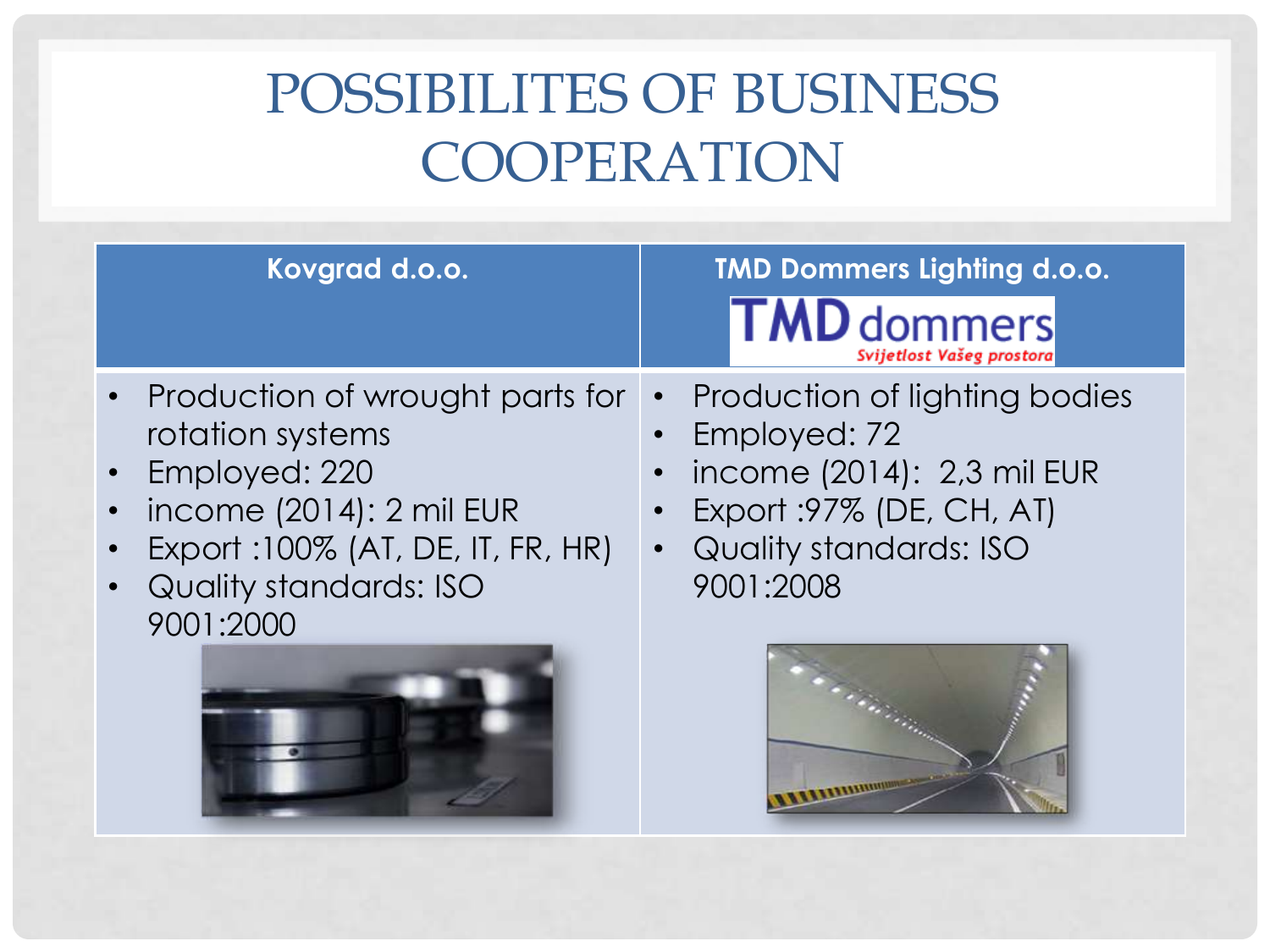## POSSIBILITES OF BUSINESS COOPERATION

| Kovgrad d.o.o.                    | <b>TMD Dommers Lighting d.o.o.</b><br><b>TMD</b> dommers<br>Svijetlost Vašeg prostora |
|-----------------------------------|---------------------------------------------------------------------------------------|
| Production of wrought parts for   | Production of lighting bodies                                                         |
| rotation systems                  | Employed: 72                                                                          |
| Employed: 220                     | income (2014): 2,3 mil EUR                                                            |
| income (2014): 2 mil EUR          | Export : 97% (DE, CH, AT)                                                             |
| Export: 100% (AT, DE, IT, FR, HR) | <b>Quality standards: ISO</b>                                                         |
| Quality standards: ISO            | $\bullet$                                                                             |
| 9001:2000                         | 9001:2008                                                                             |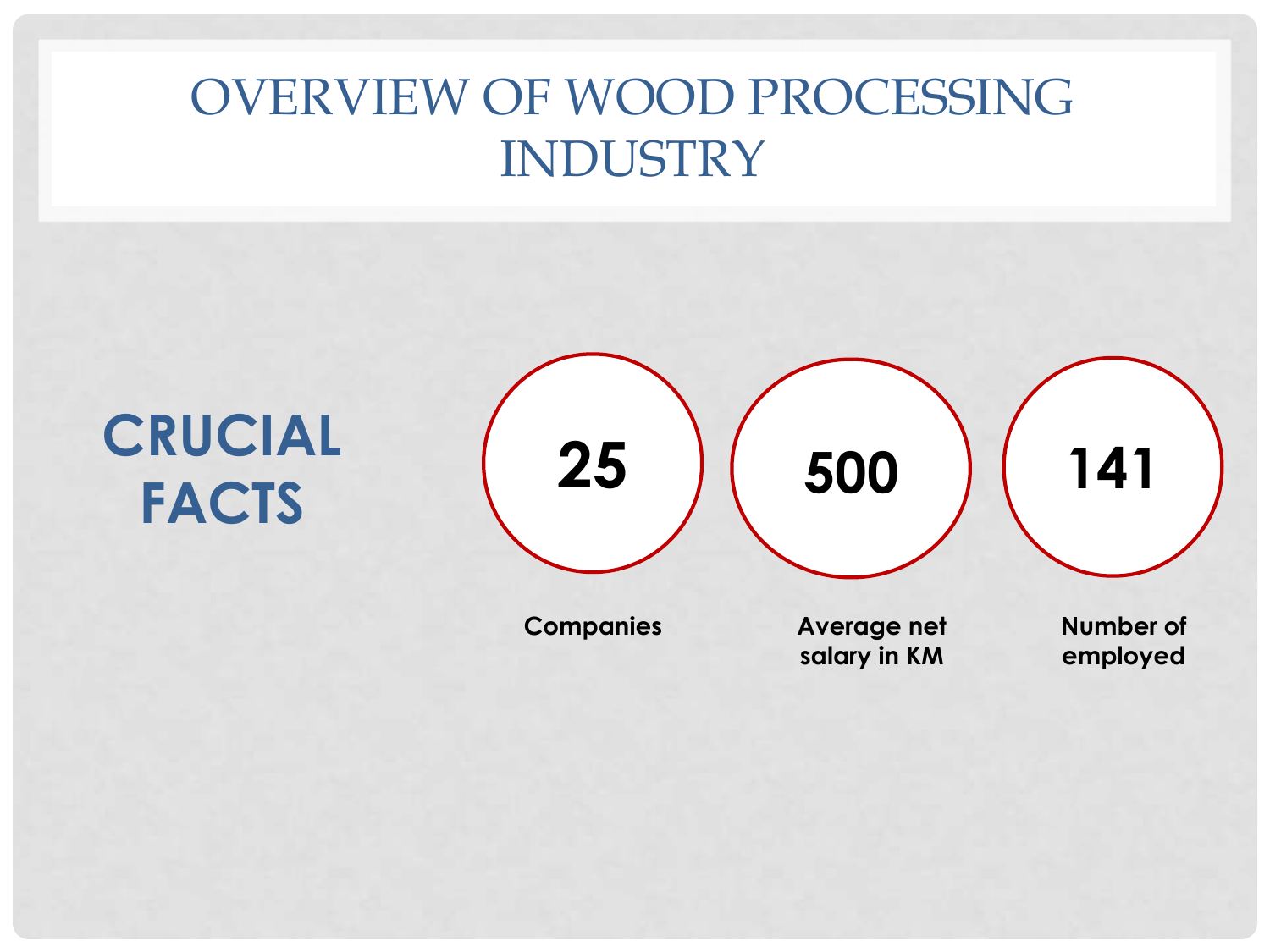### OVERVIEW OF WOOD PROCESSING INDUSTRY

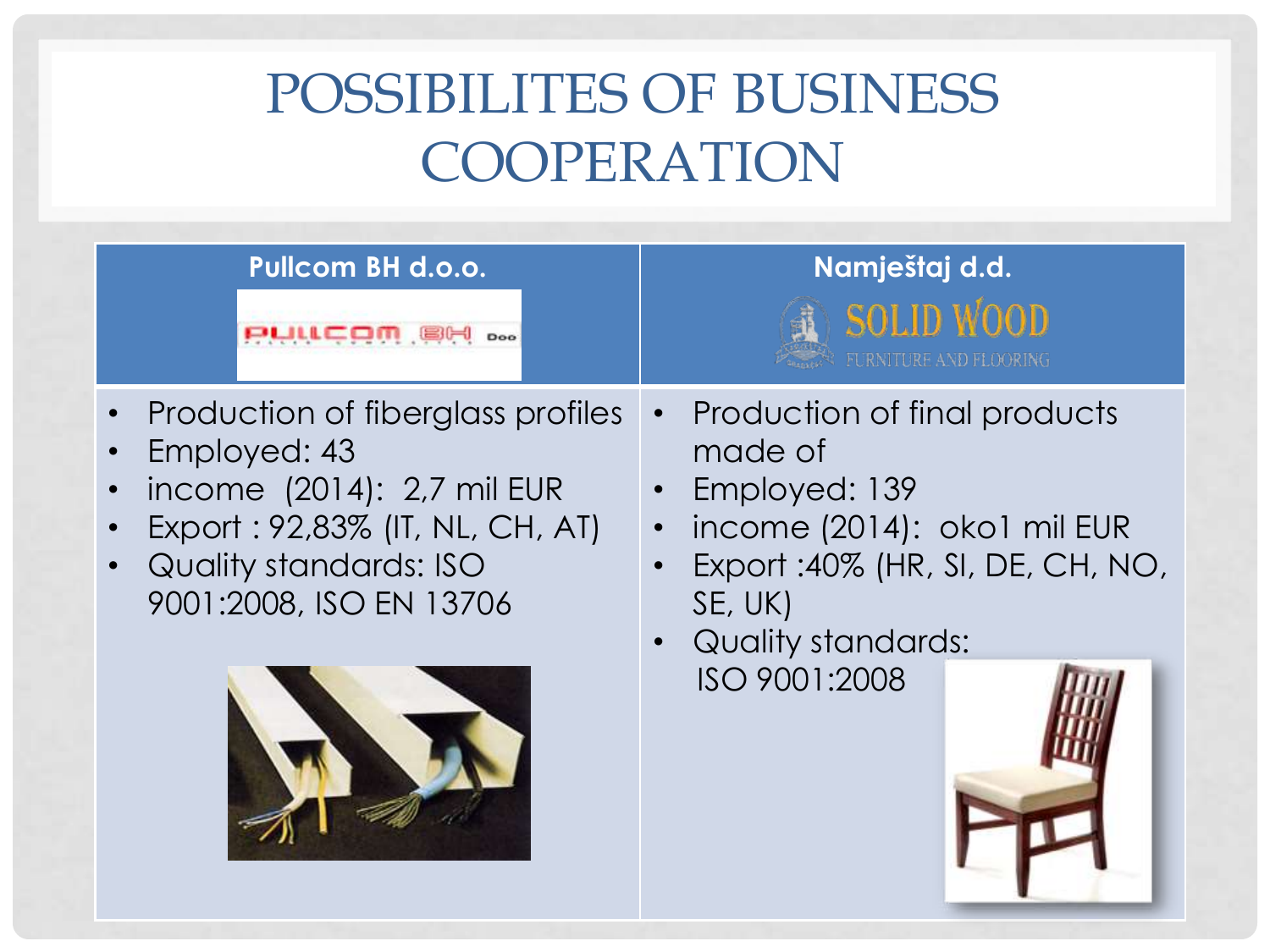## POSSIBILITES OF BUSINESS COOPERATION

| <b>Pullcom BH d.o.o.</b>          | Namještaj d.d.                    |
|-----------------------------------|-----------------------------------|
| PULLCOM 88                        | <b>SOLID WOOD</b>                 |
| Doo                               | FURNITURE AND FLOORING            |
| Production of fiberglass profiles | Production of final products      |
| Employed: 43                      | made of                           |
| income (2014): 2,7 mil EUR        | Employed: 139                     |
| $\bullet$                         | income (2014): oko1 mil EUR       |
| Export: 92,83% (IT, NL, CH, AT)   | Export : 40% (HR, SI, DE, CH, NO, |
| Quality standards: ISO            | SE, UK)                           |
| $\bullet$                         | <b>Quality standards:</b>         |
| 9001:2008, ISO EN 13706           | ISO 9001:2008                     |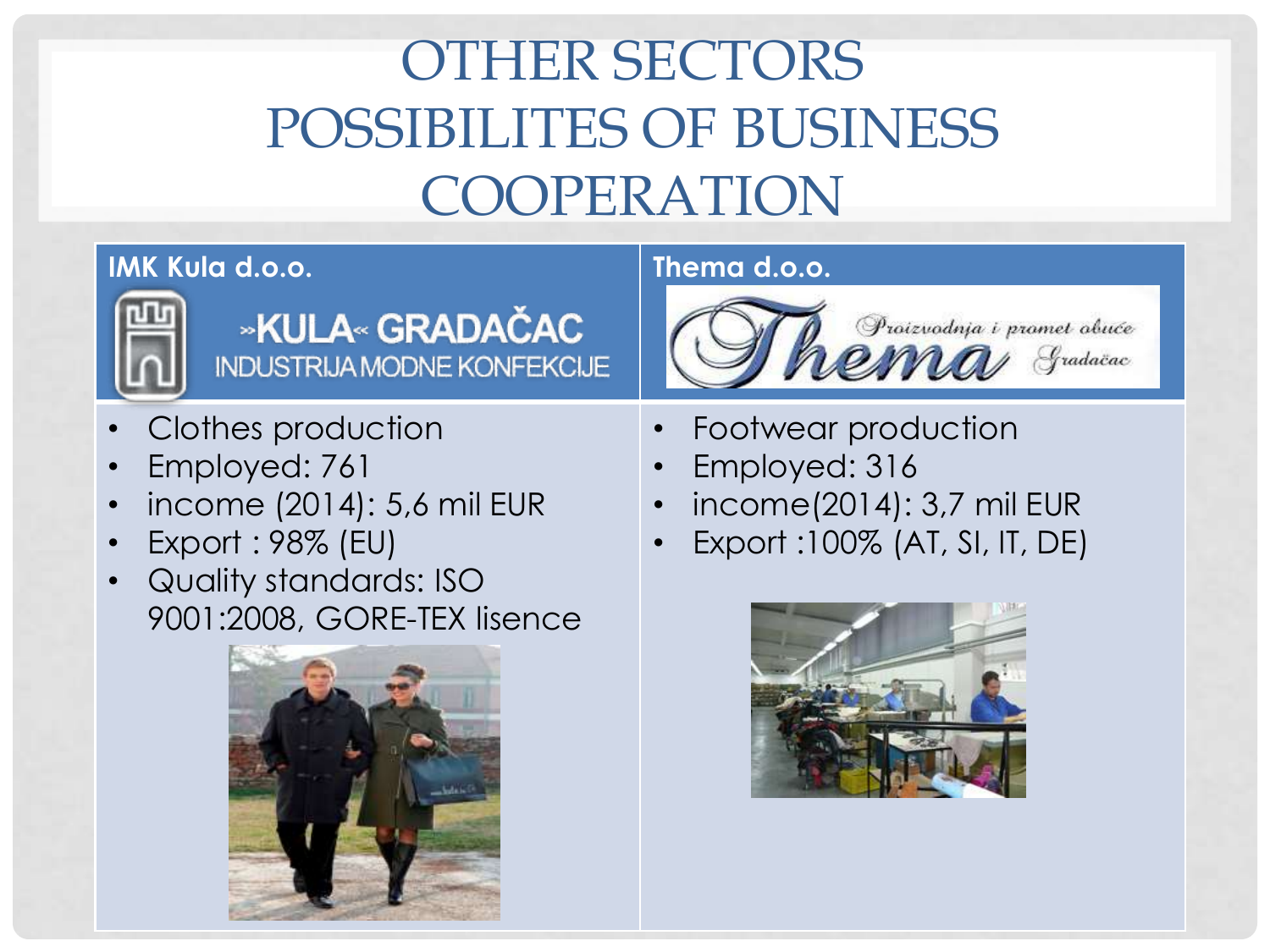# OTHER SECTORS POSSIBILITES OF BUSINESS COOPERATION

### **IMK Kula d.o.o. Thema d.o.o.**



### »KULA« GRADAČAC **INDUSTRIJA MODNE KONFEKCIJE**

- Clothes production
- Employed: 761
- income (2014): 5,6 mil EUR
- Export : 98% (EU)
- Quality standards: ISO 9001:2008, GORE-TEX lisence





- Footwear production
- Employed: 316
- income(2014): 3,7 mil EUR
- Export :100% (AT, SI, IT, DE)

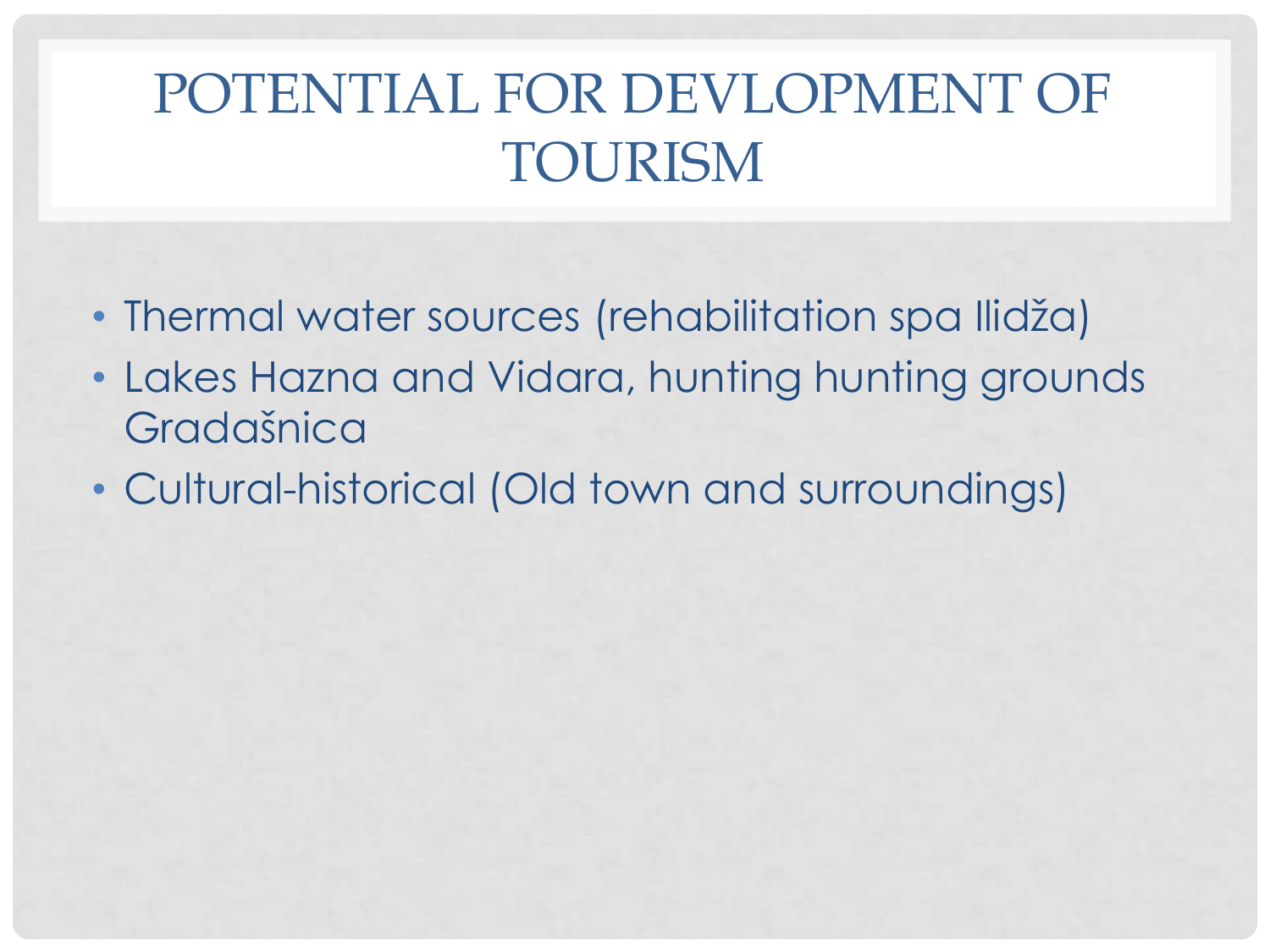## POTENTIAL FOR DEVLOPMENT OF TOURISM

- Thermal water sources (rehabilitation spa Ilidža)
- Lakes Hazna and Vidara, hunting hunting grounds Gradašnica
- Cultural-historical (Old town and surroundings)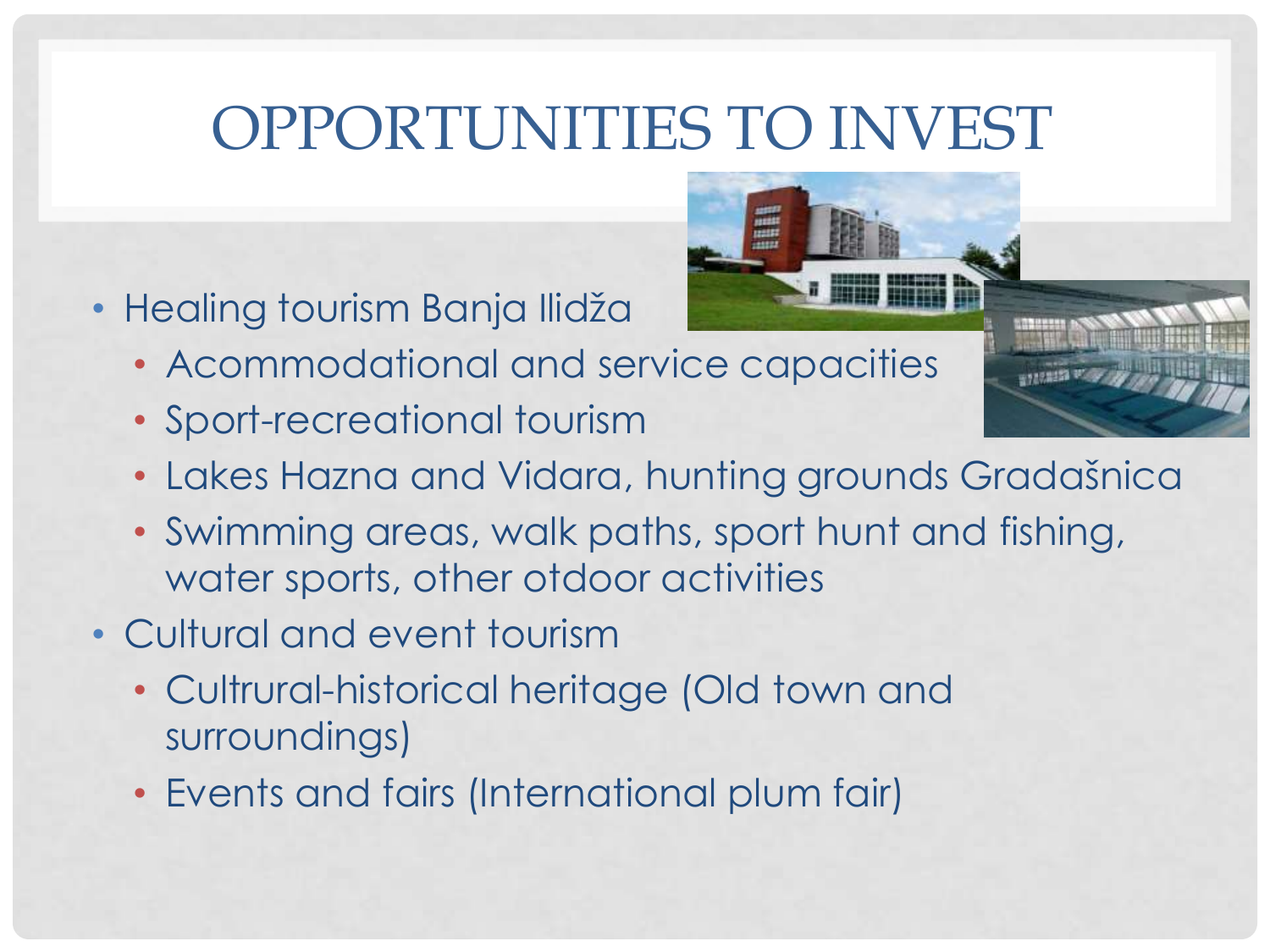# OPPORTUNITIES TO INVEST

- Healing tourism Banja Ilidža
	- Acommodational and service capacities
	- Sport-recreational tourism
	- Lakes Hazna and Vidara, hunting grounds Gradašnica
	- Swimming areas, walk paths, sport hunt and fishing, water sports, other otdoor activities
- Cultural and event tourism
	- Cultrural-historical heritage (Old town and surroundings)
	- Events and fairs (International plum fair)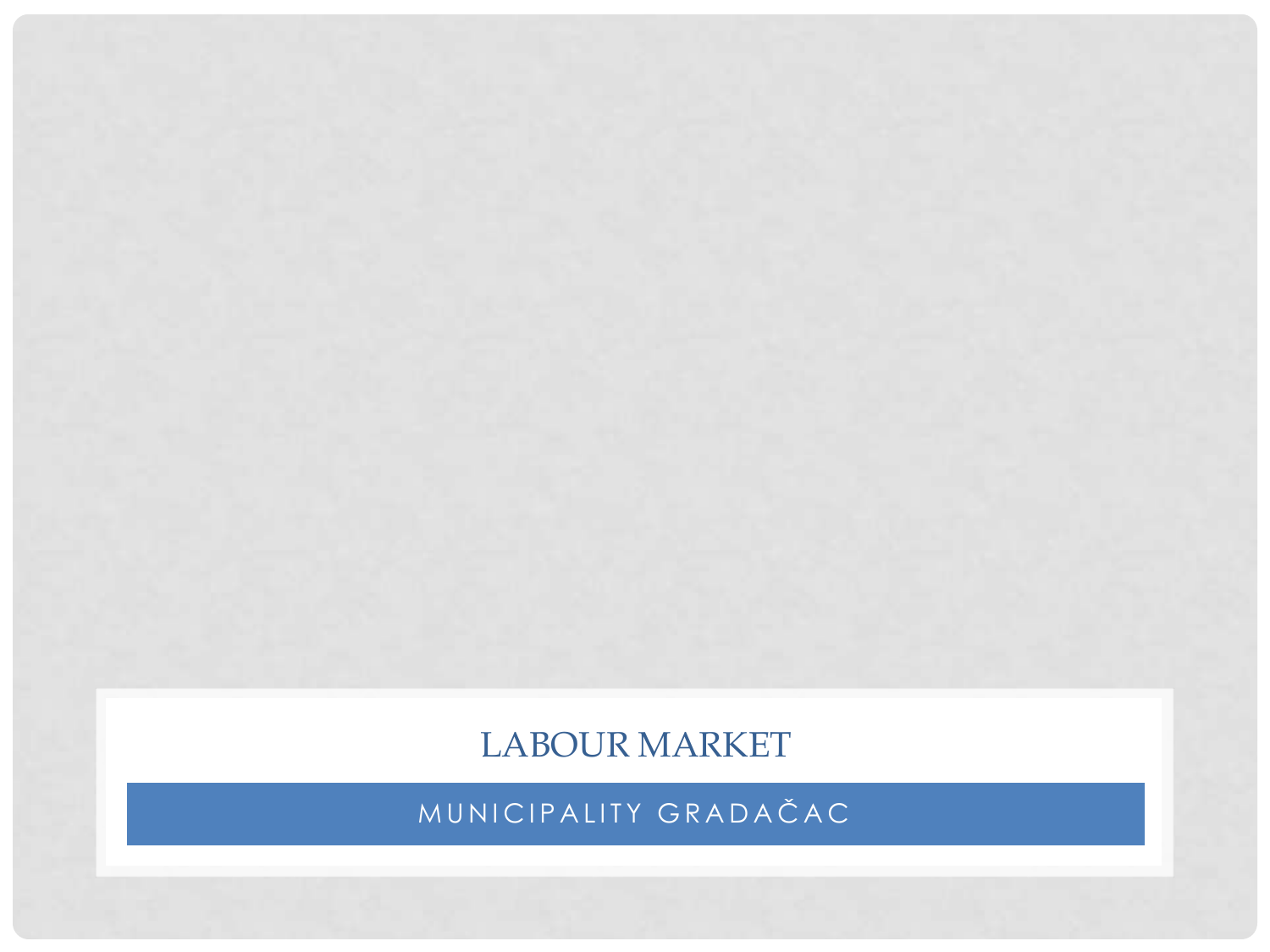LABOUR MARKET

MUNICIPALITY GRADAČAC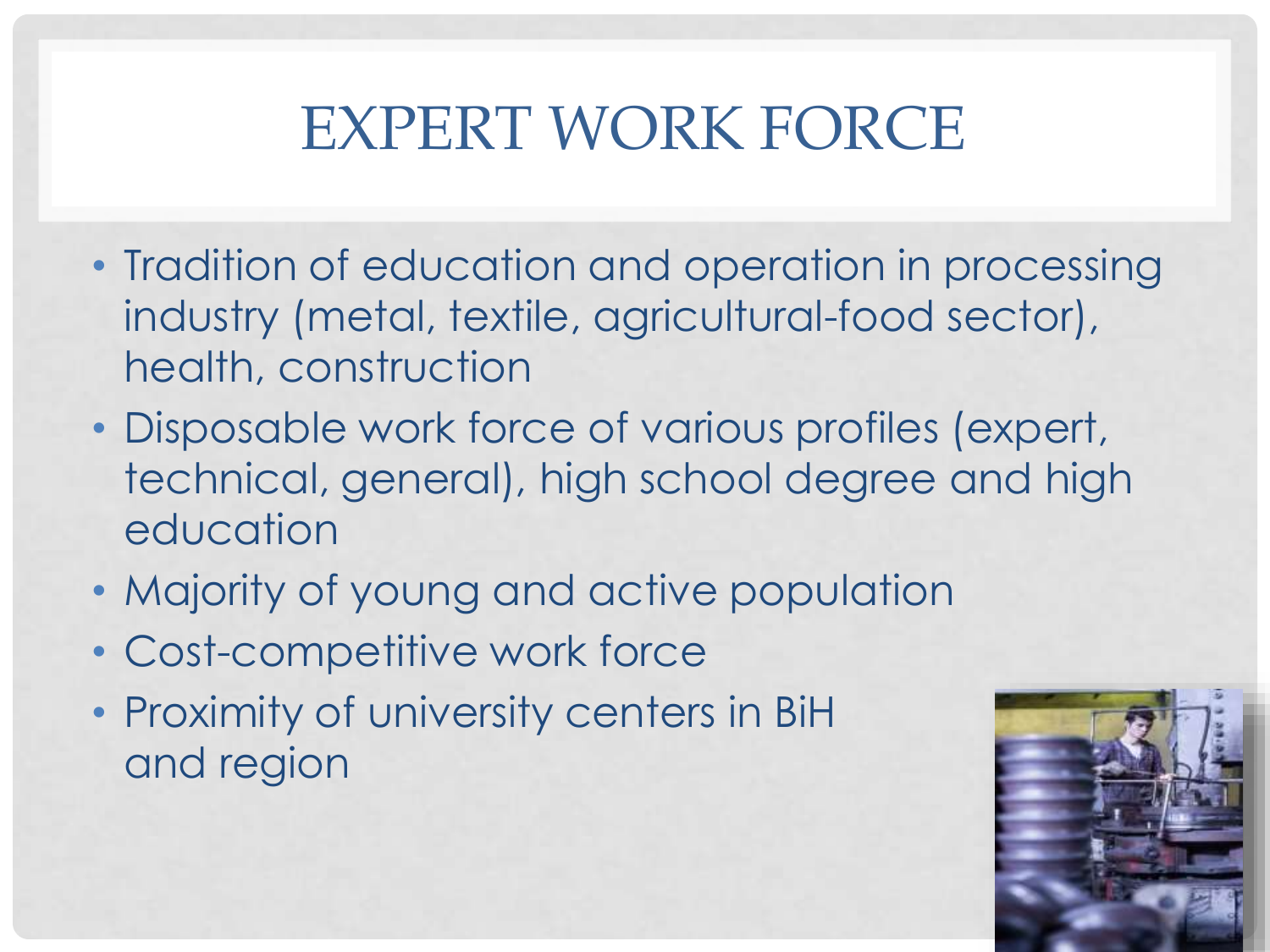# EXPERT WORK FORCE

- Tradition of education and operation in processing industry (metal, textile, agricultural-food sector), health, construction
- Disposable work force of various profiles (expert, technical, general), high school degree and high education
- Majority of young and active population
- Cost-competitive work force
- Proximity of university centers in BiH and region

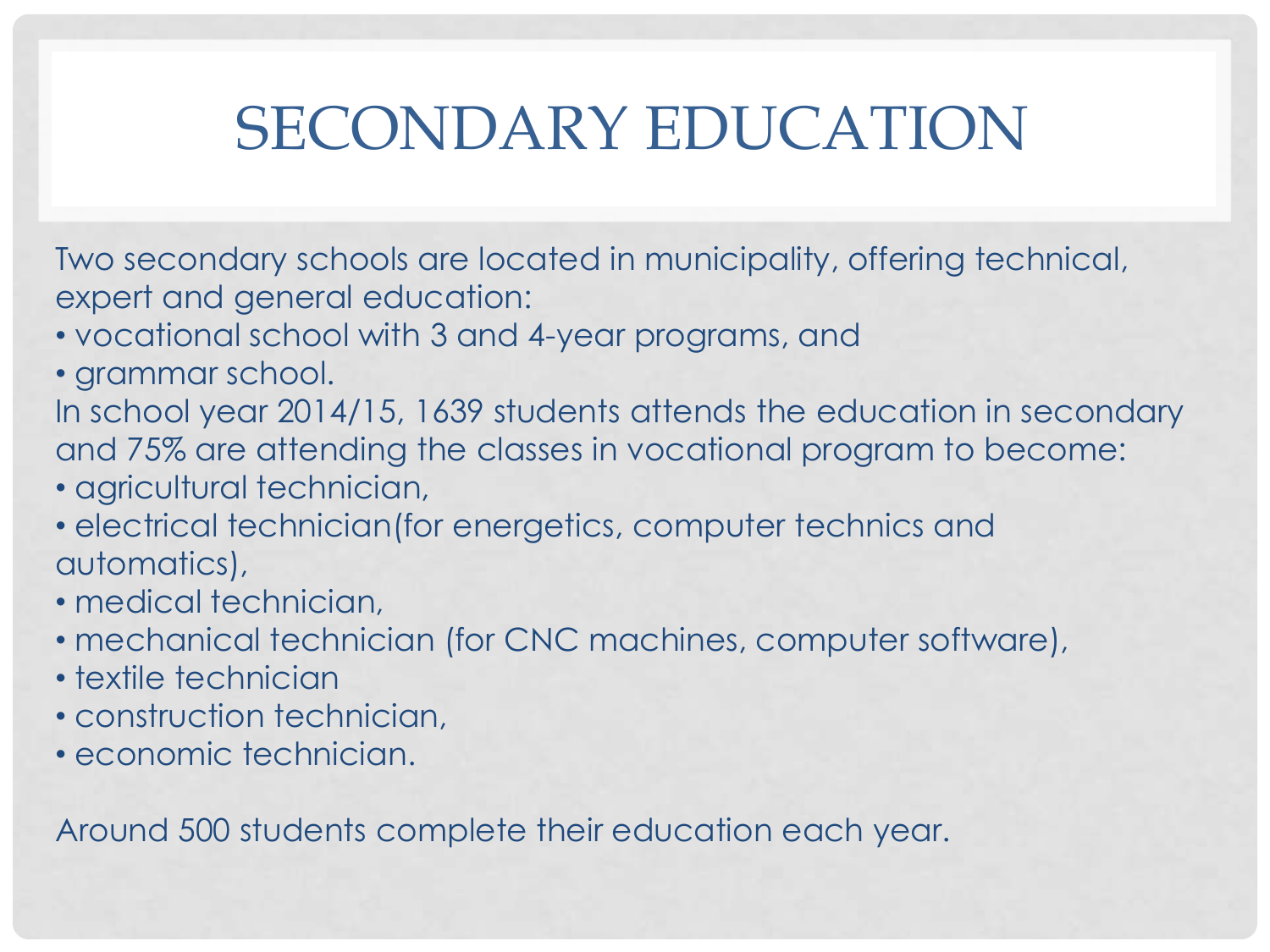# SECONDARY EDUCATION

Two secondary schools are located in municipality, offering technical, expert and general education:

- vocational school with 3 and 4-year programs, and
- grammar school.

In school year 2014/15, 1639 students attends the education in secondary and 75% are attending the classes in vocational program to become:

- agricultural technician,
- electrical technician(for energetics, computer technics and automatics),
- medical technician,
- mechanical technician (for CNC machines, computer software),
- textile technician
- construction technician,
- economic technician.

Around 500 students complete their education each year.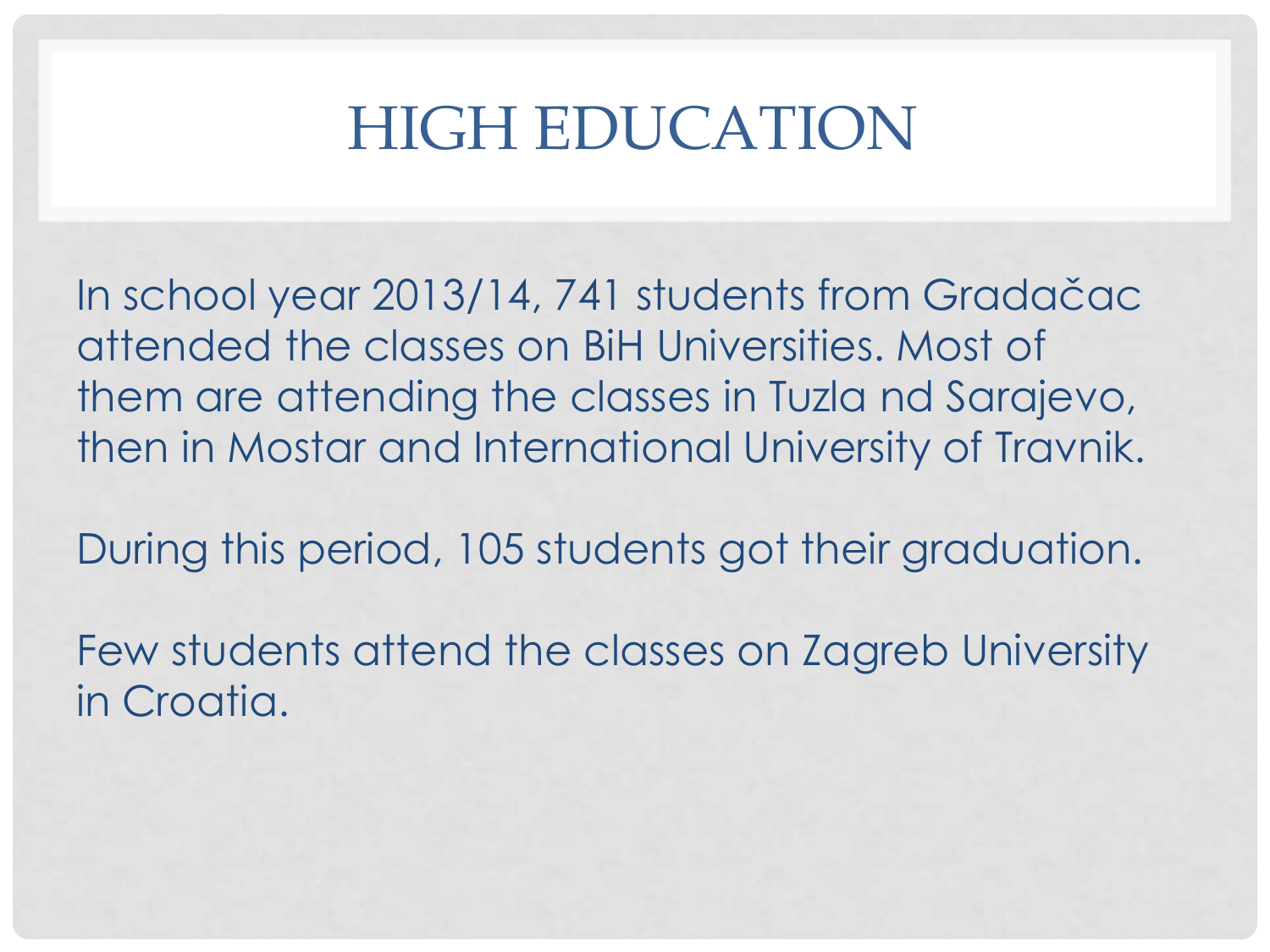### HIGH EDUCATION

In school year 2013/14, 741 students from Gradačac attended the classes on BiH Universities. Most of them are attending the classes in Tuzla nd Sarajevo, then in Mostar and International University of Travnik.

During this period, 105 students got their graduation.

Few students attend the classes on Zagreb University in Croatia.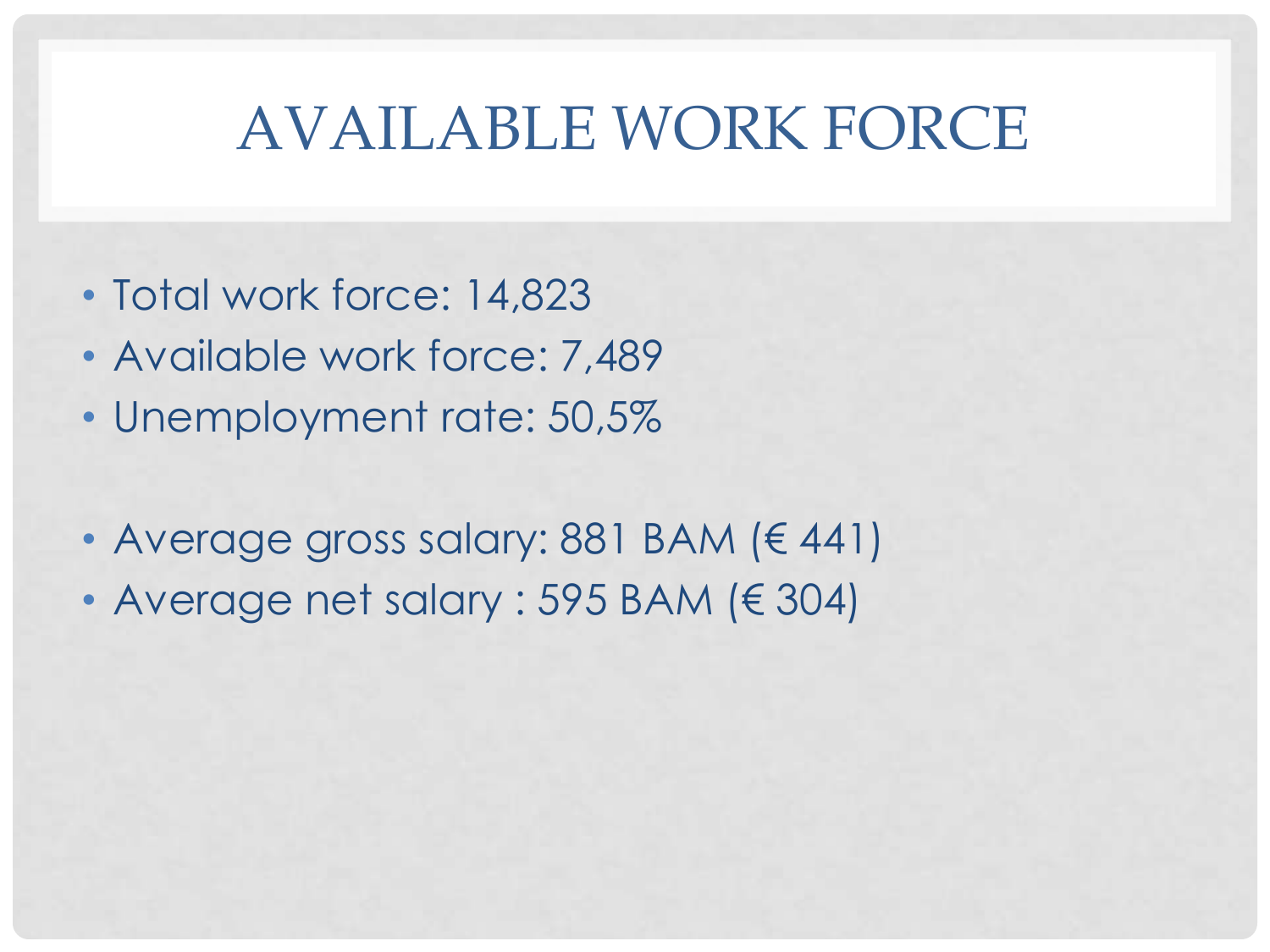## AVAILABLE WORK FORCE

- Total work force: 14,823
- Available work force: 7,489
- Unemployment rate: 50,5%
- Average gross salary: 881 BAM (€ 441)
- Average net salary : 595 BAM (€ 304)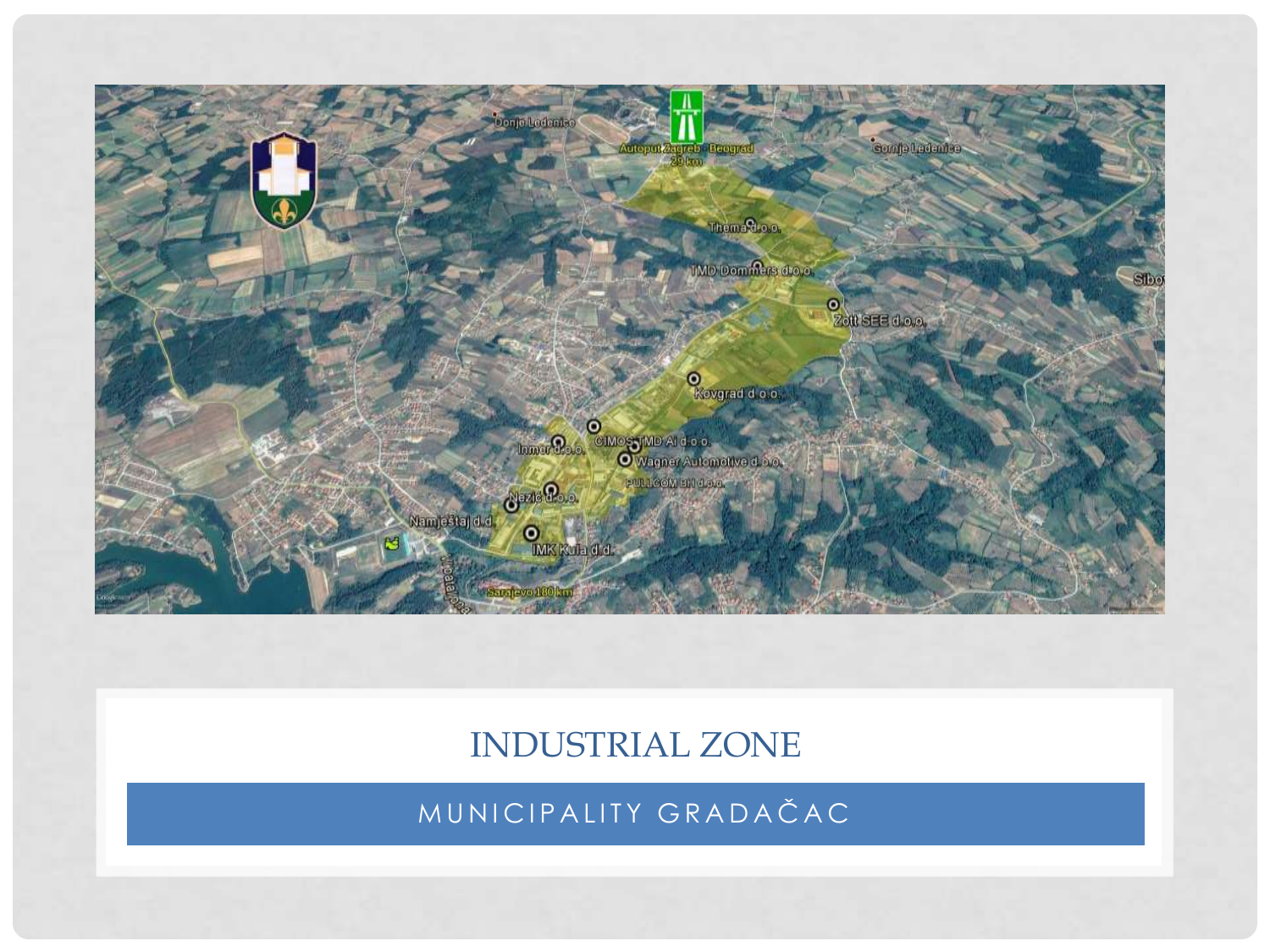

### INDUSTRIAL ZONE

MUNICIPALITY GRADAČAC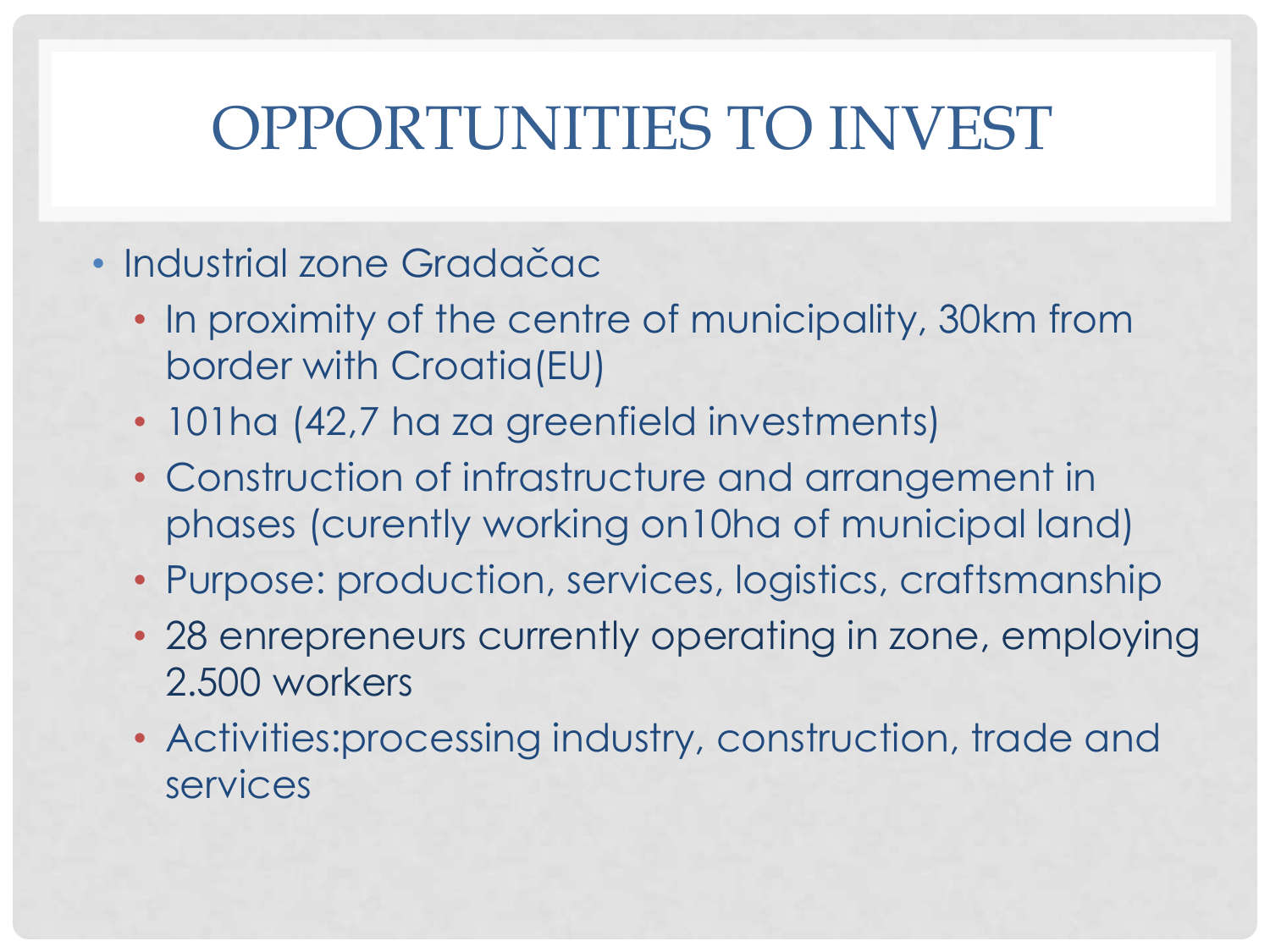# OPPORTUNITIES TO INVEST

### • Industrial zone Gradačac

- In proximity of the centre of municipality, 30km from border with Croatia(EU)
- 101ha (42,7 ha za greenfield investments)
- Construction of infrastructure and arrangement in phases (curently working on10ha of municipal land)
- Purpose: production, services, logistics, craftsmanship
- 28 enrepreneurs currently operating in zone, employing 2.500 workers
- Activities:processing industry, construction, trade and services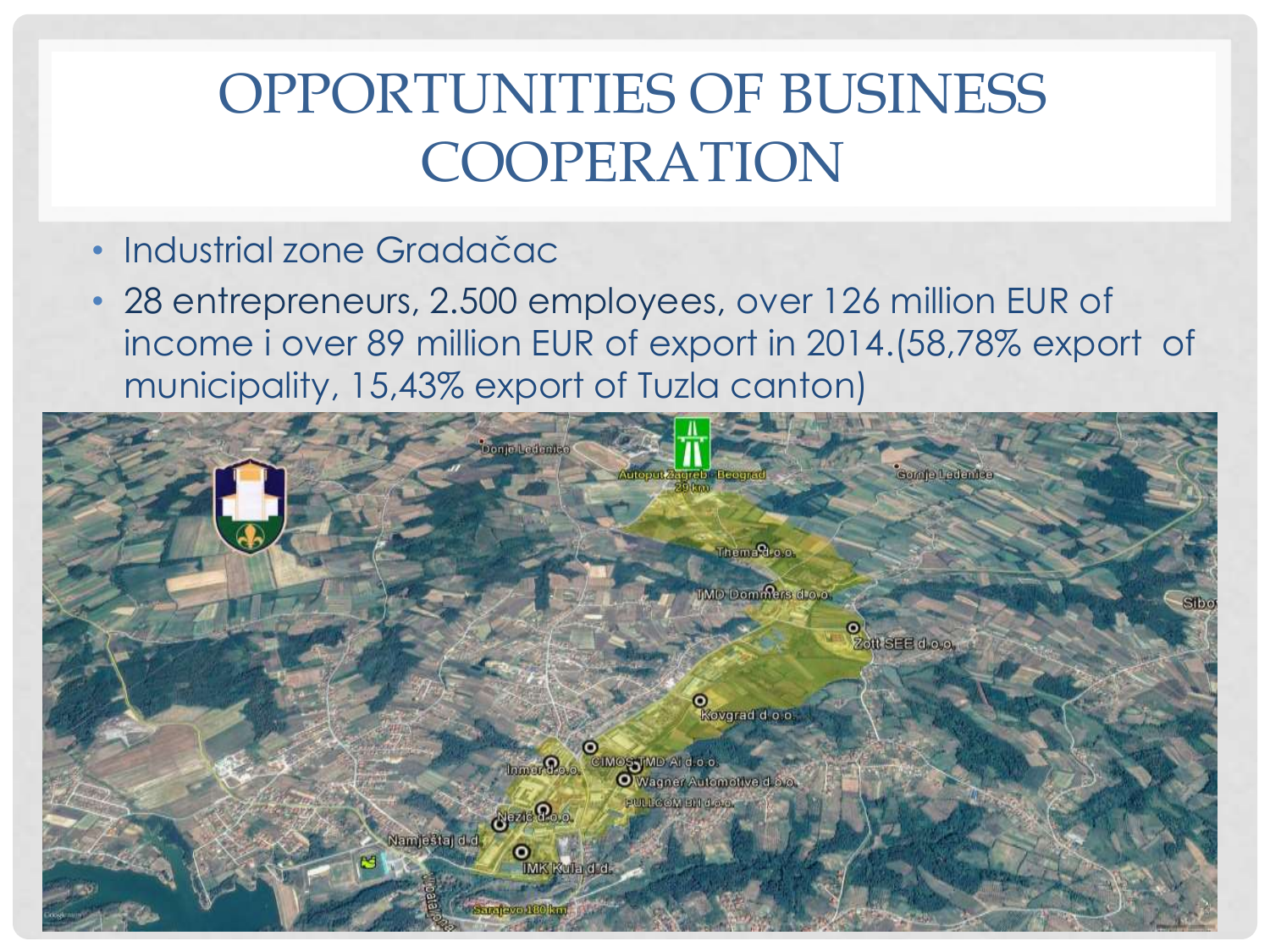### OPPORTUNITIES OF BUSINESS COOPERATION

### • Industrial zone Gradačac

• 28 entrepreneurs, 2.500 employees, over 126 million EUR of income i over 89 million EUR of export in 2014.(58,78% export of municipality, 15,43% export of Tuzla canton)

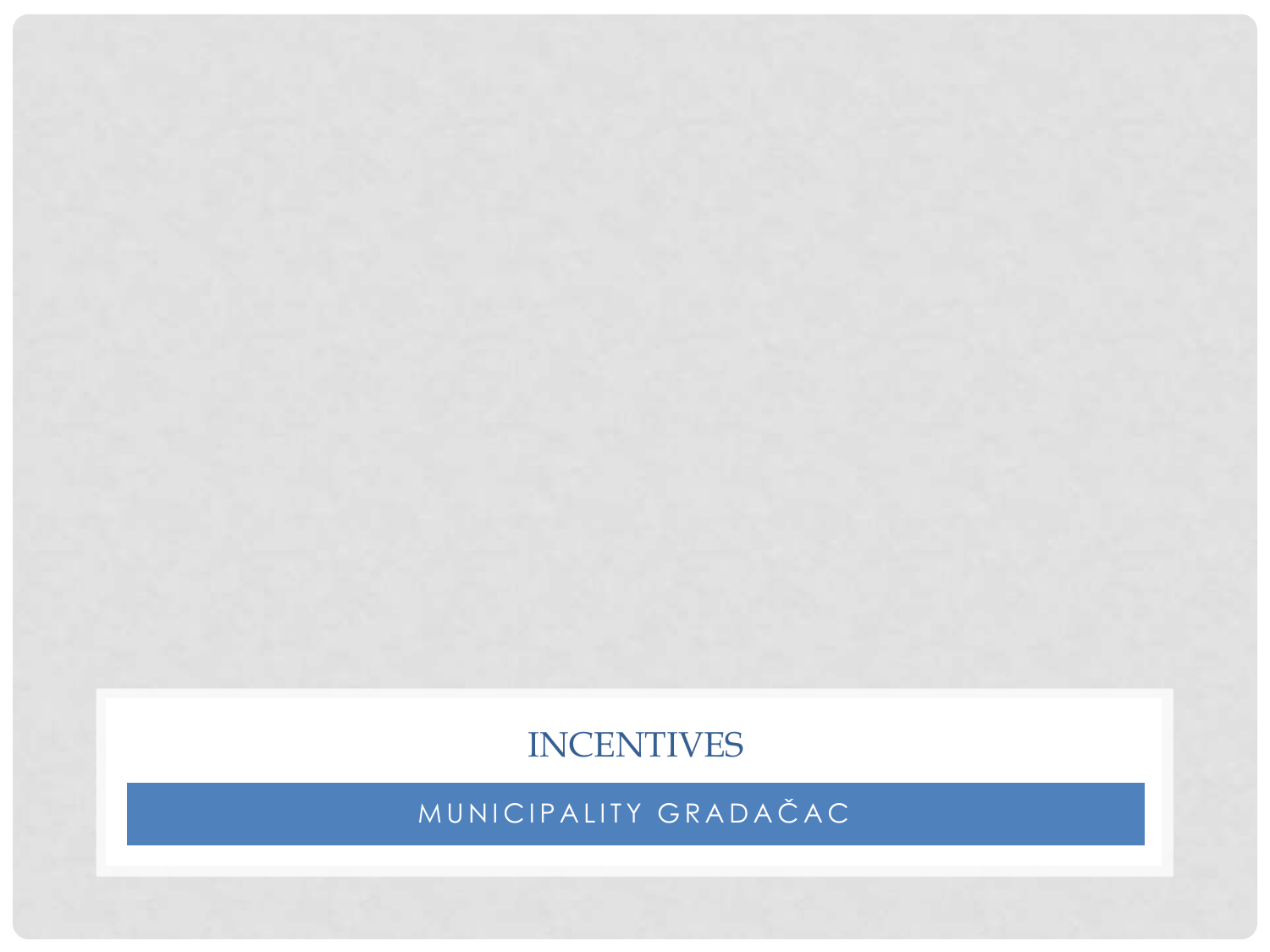### **INCENTIVES**

MUNICIPALITY GRADAČAC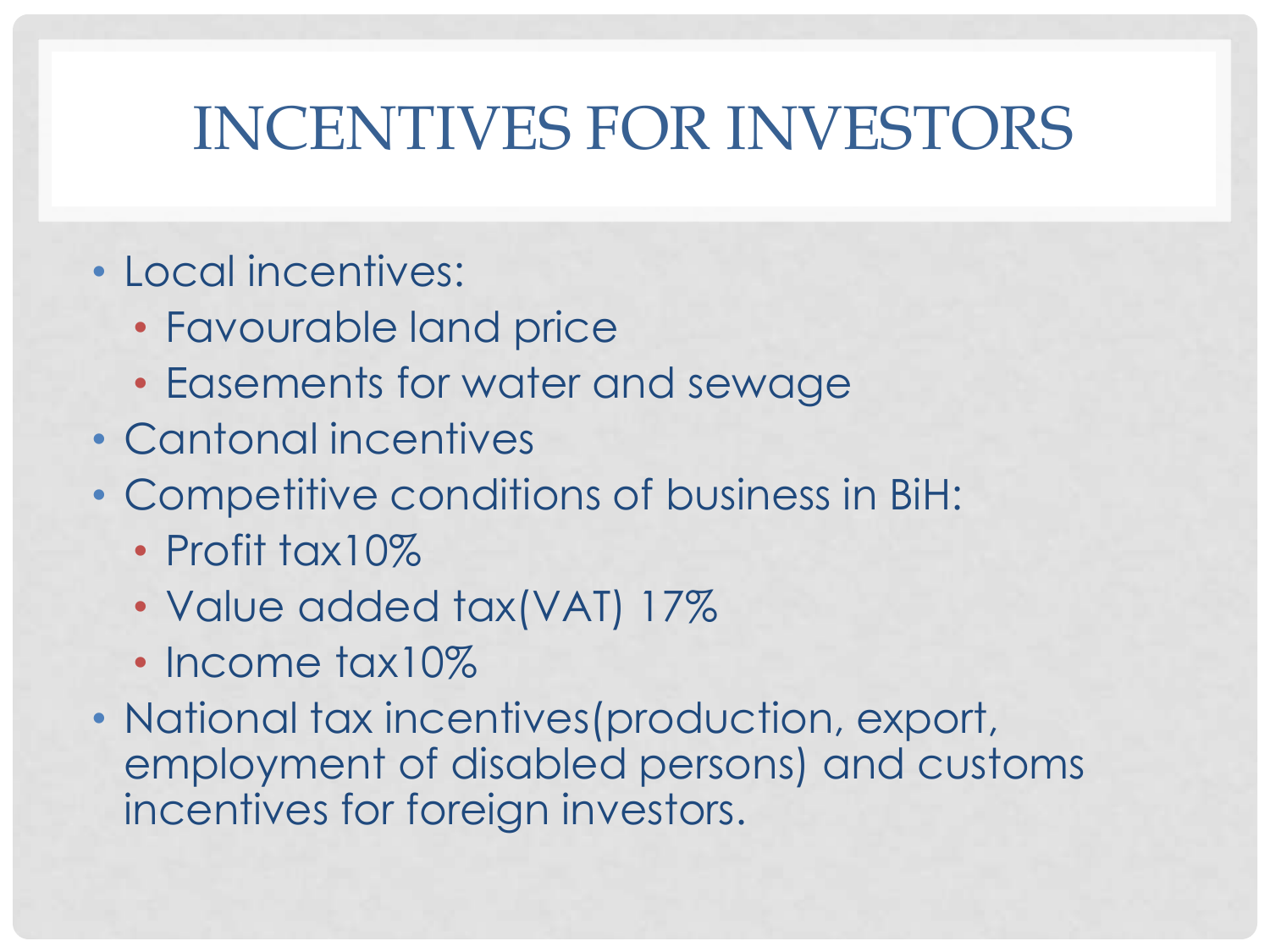# INCENTIVES FOR INVESTORS

- Local incentives:
	- Favourable land price
	- Easements for water and sewage
- Cantonal incentives
- Competitive conditions of business in BiH:
	- Profit tax10%
	- Value added tax(VAT) 17%
	- Income tax10%
- National tax incentives (production, export, employment of disabled persons) and customs incentives for foreign investors.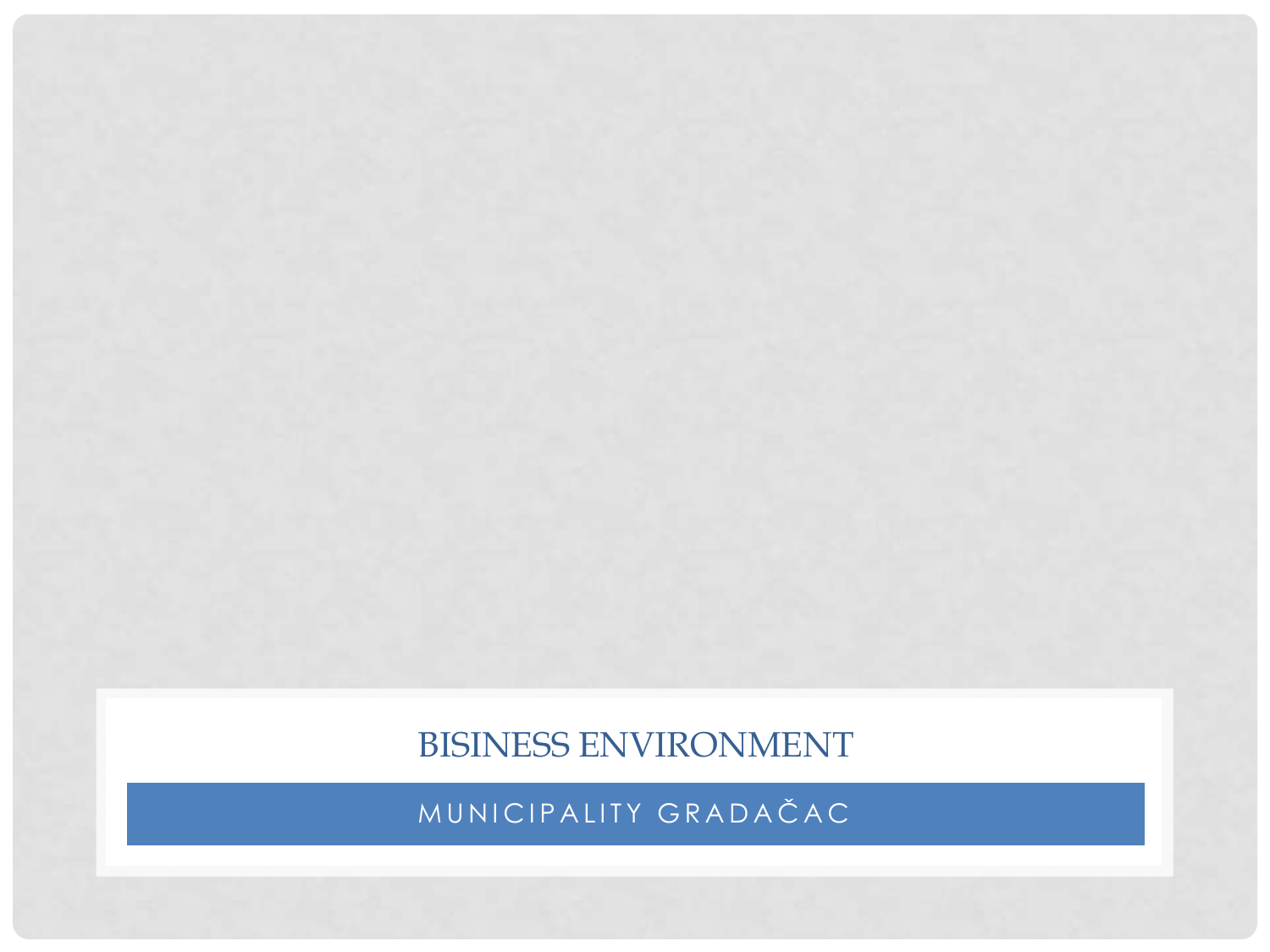BISINESS ENVIRONMENT

MUNICIPALITY GRADAČAC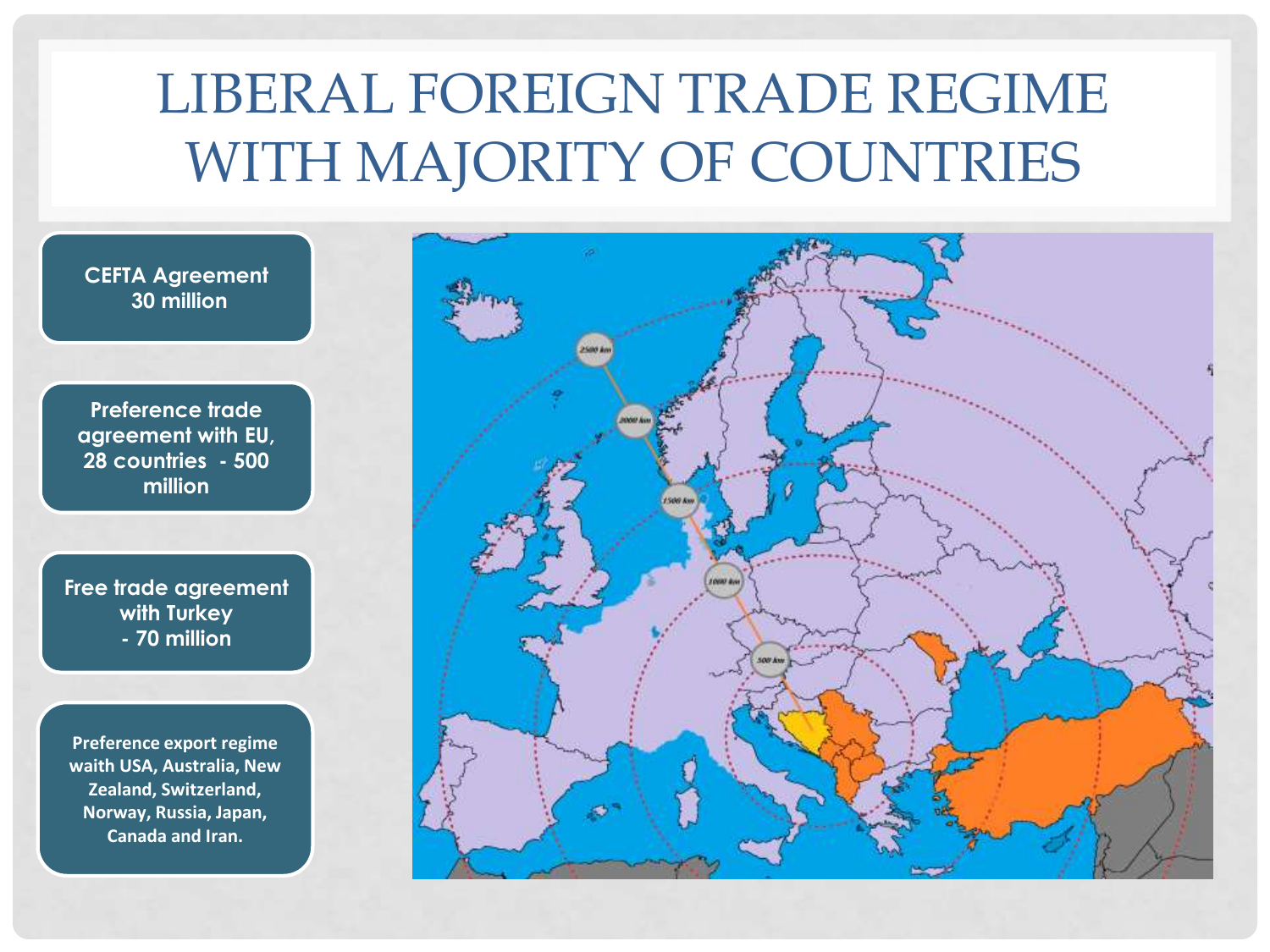## LIBERAL FOREIGN TRADE REGIME WITH MAJORITY OF COUNTRIES

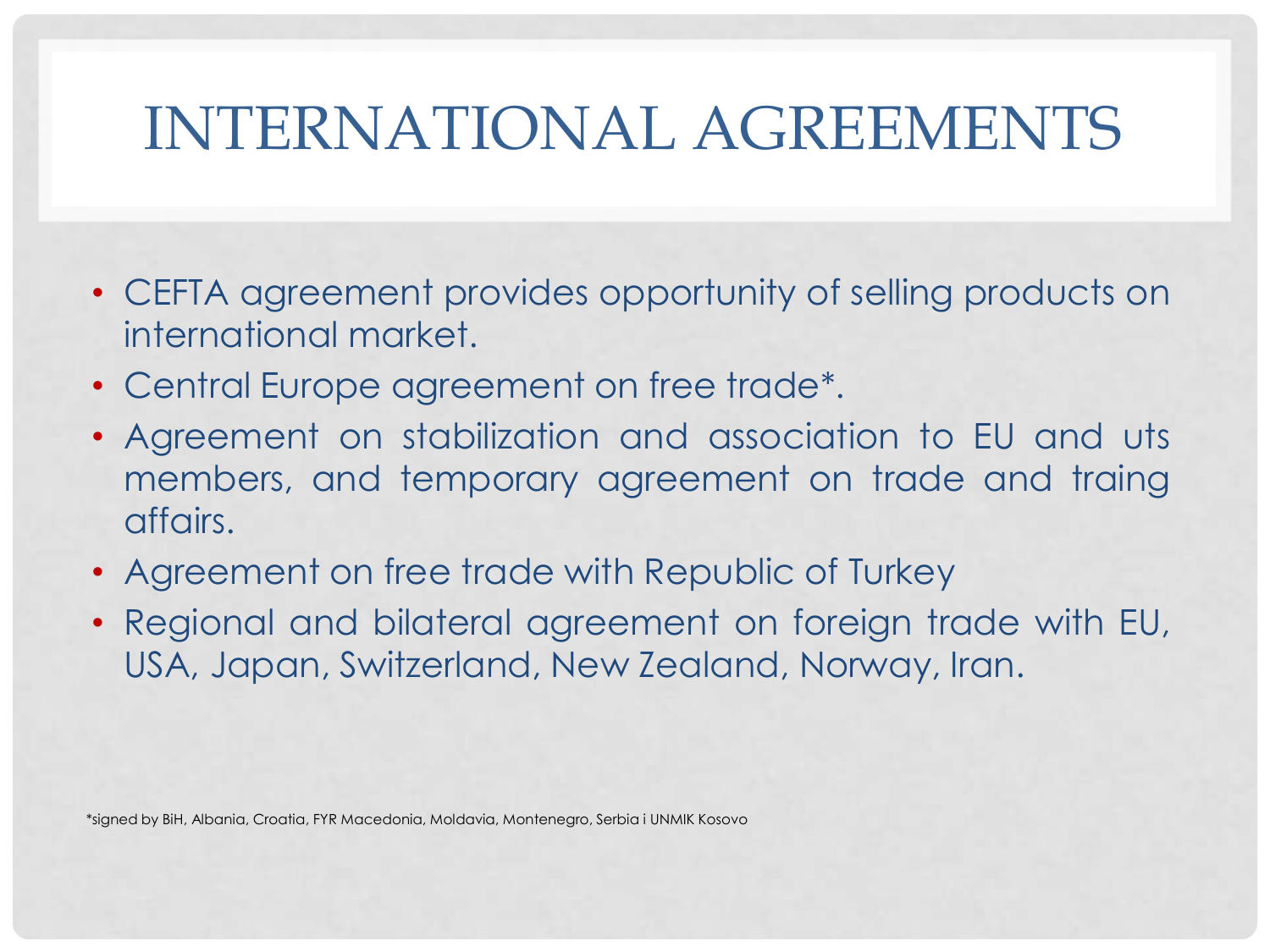# INTERNATIONAL AGREEMENTS

- CEFTA agreement provides opportunity of selling products on international market.
- Central Europe agreement on free trade\*.
- Agreement on stabilization and association to EU and uts members, and temporary agreement on trade and traing affairs.
- Agreement on free trade with Republic of Turkey
- Regional and bilateral agreement on foreign trade with EU, USA, Japan, Switzerland, New Zealand, Norway, Iran.

\*signed by BiH, Albania, Croatia, FYR Macedonia, Moldavia, Montenegro, Serbia i UNMIK Kosovo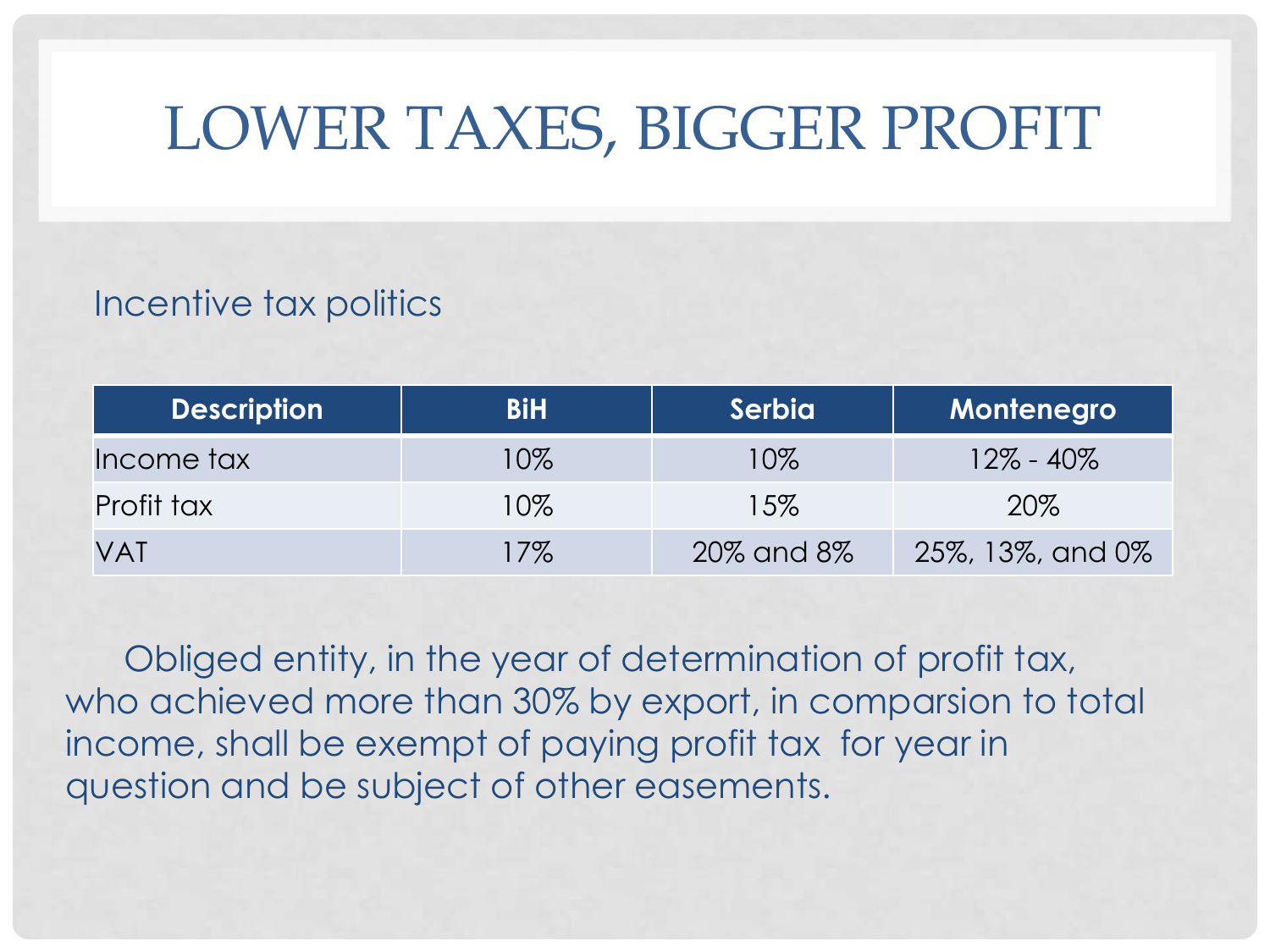# LOWER TAXES, BIGGER PROFIT

### Incentive tax politics

| <b>Description</b> | <b>BiH</b> | Serbia     | Montenegro       |
|--------------------|------------|------------|------------------|
| Income tax         | 10%        | 10%        | $12\% - 40\%$    |
| Profit tax         | 10%        | 15%        | 20%              |
| <b>VAT</b>         | $17\%$     | 20% and 8% | 25%, 13%, and 0% |

Obliged entity, in the year of determination of profit tax, who achieved more than 30% by export, in comparsion to total income, shall be exempt of paying profit tax for year in question and be subject of other easements.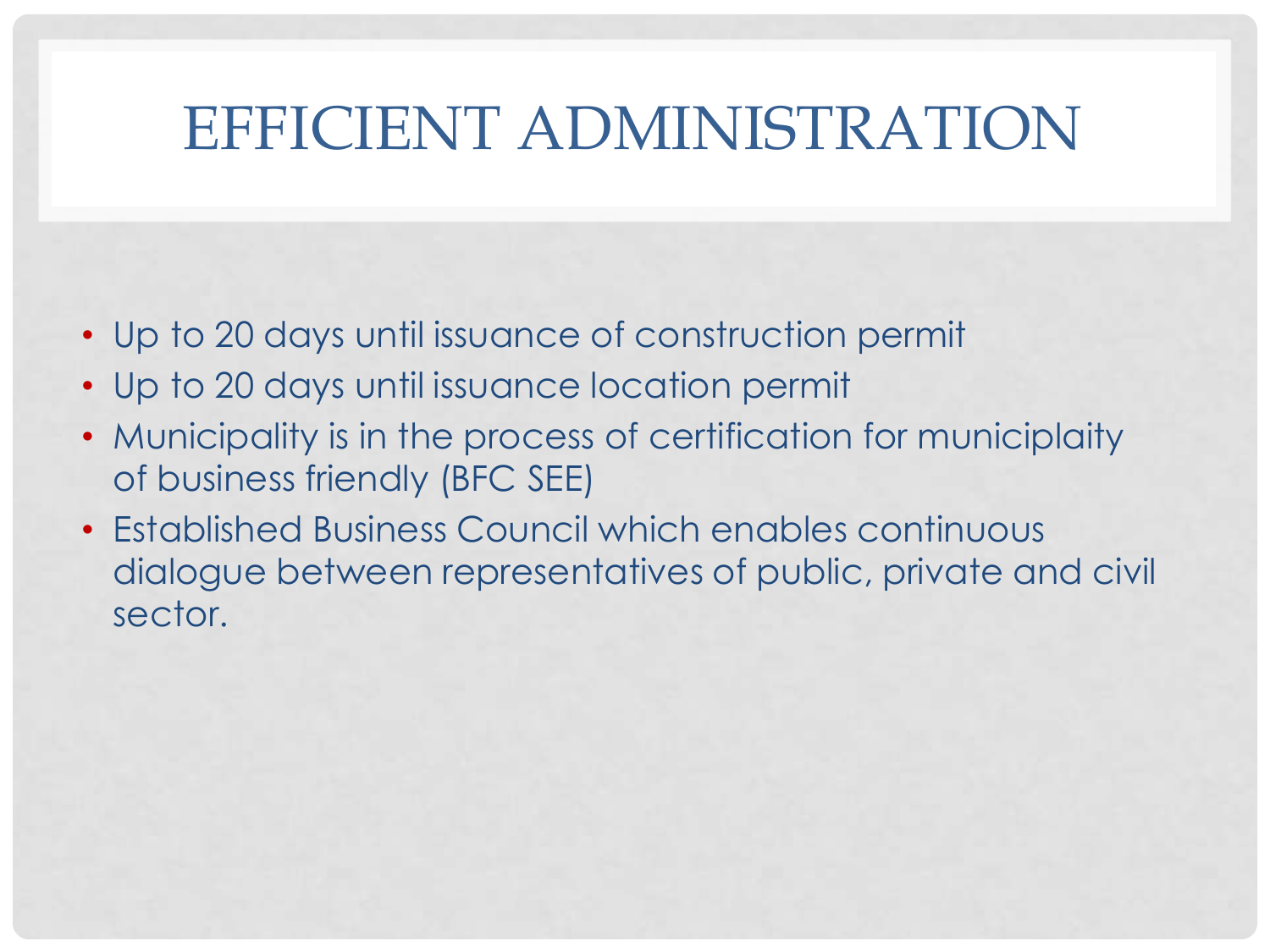## EFFICIENT ADMINISTRATION

- Up to 20 days until issuance of construction permit
- Up to 20 days until issuance location permit
- Municipality is in the process of certification for municiplaity of business friendly (BFC SEE)
- Established Business Council which enables continuous dialogue between representatives of public, private and civil sector.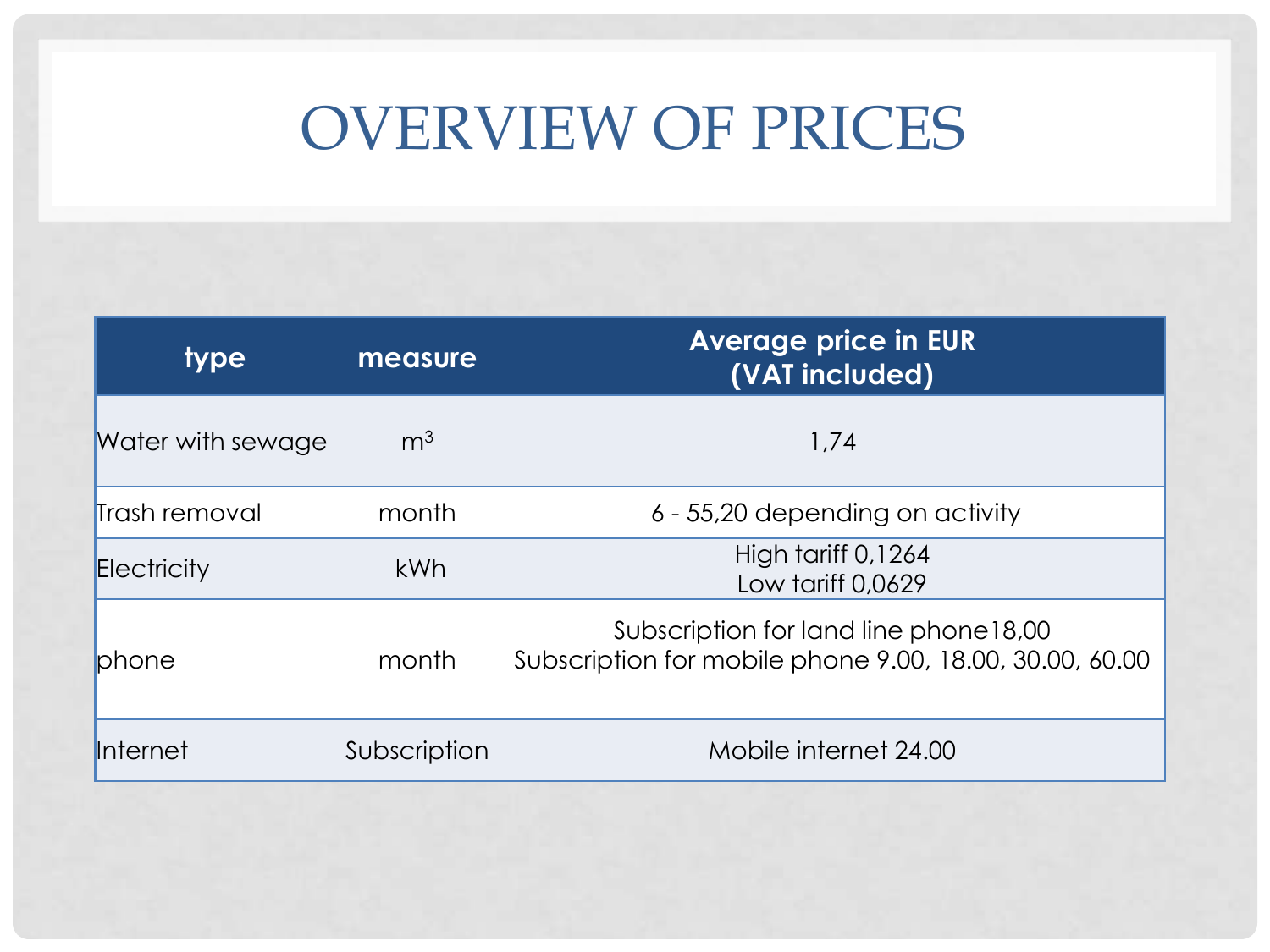# OVERVIEW OF PRICES

| type              | measure        | <b>Average price in EUR</b><br>(VAT included)                                                     |  |
|-------------------|----------------|---------------------------------------------------------------------------------------------------|--|
| Water with sewage | m <sup>3</sup> | 1,74                                                                                              |  |
| Trash removal     | month          | 6 - 55,20 depending on activity                                                                   |  |
| Electricity       | <b>kWh</b>     | High tariff 0,1264<br>Low tariff 0,0629                                                           |  |
| <b>phone</b>      | month          | Subscription for land line phone 18,00<br>Subscription for mobile phone 9.00, 18.00, 30.00, 60.00 |  |
| Internet          | Subscription   | Mobile internet 24.00                                                                             |  |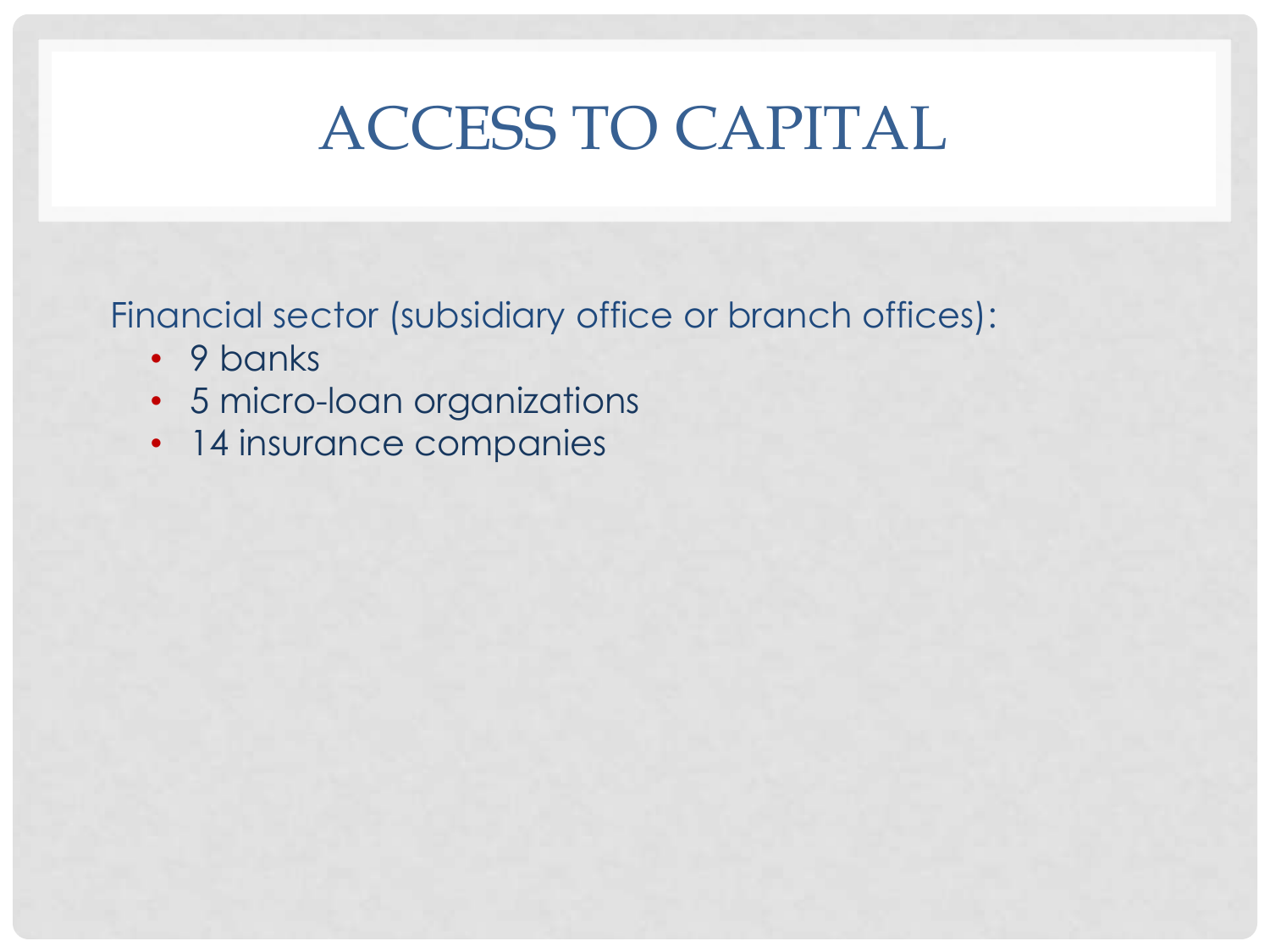# ACCESS TO CAPITAL

Financial sector (subsidiary office or branch offices):

- 9 banks
- 5 micro-loan organizations
- 14 insurance companies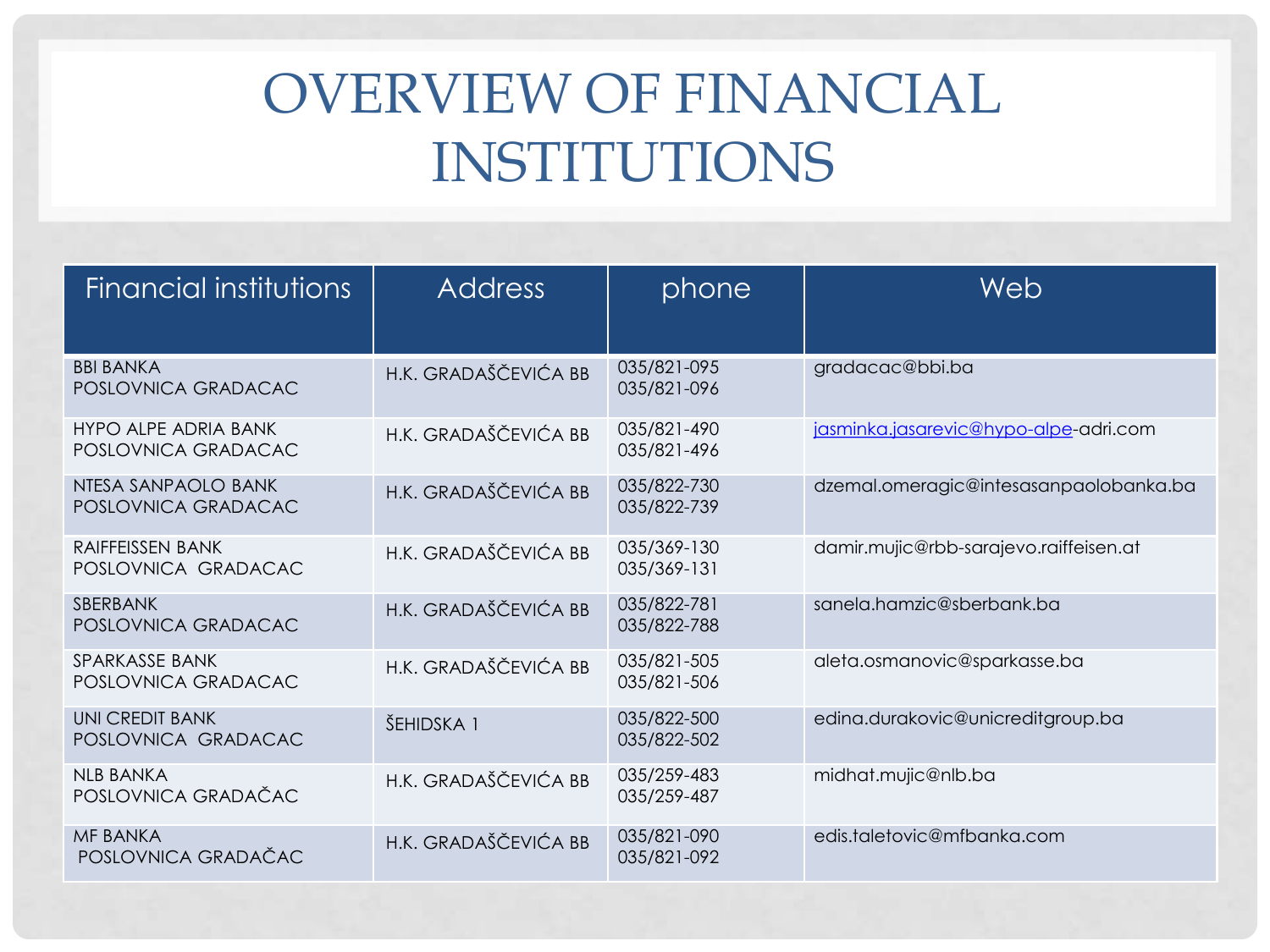## OVERVIEW OF FINANCIAL INSTITUTIONS

| Financial institutions                             | <b>Address</b>       | phone                      | Web                                    |
|----------------------------------------------------|----------------------|----------------------------|----------------------------------------|
| <b>BBI BANKA</b><br>POSLOVNICA GRADACAC            | H.K. GRADAŠČEVIĆA BB | 035/821-095<br>035/821-096 | gradacac@bbi.ba                        |
| <b>HYPO ALPE ADRIA BANK</b><br>POSLOVNICA GRADACAC | H.K. GRADAŠČEVIĆA BB | 035/821-490<br>035/821-496 | jasminka.jasarevic@hypo-alpe-adri.com  |
| NTESA SANPAOLO BANK<br>POSLOVNICA GRADACAC         | H.K. GRADAŠČEVIĆA BB | 035/822-730<br>035/822-739 | dzemal.omeragic@intesasanpaolobanka.ba |
| <b>RAIFFEISSEN BANK</b><br>POSLOVNICA GRADACAC     | H.K. GRADAŠČEVIĆA BB | 035/369-130<br>035/369-131 | damir.mujic@rbb-sarajevo.raiffeisen.at |
| SBERBANK<br>POSLOVNICA GRADACAC                    | H.K. GRADAŠČEVIĆA BB | 035/822-781<br>035/822-788 | sanela.hamzic@sberbank.ba              |
| SPARKASSE BANK<br>POSLOVNICA GRADACAC              | H.K. GRADAŠČEVIĆA BB | 035/821-505<br>035/821-506 | aleta.osmanovic@sparkasse.ba           |
| UNI CREDIT BANK<br>POSLOVNICA GRADACAC             | ŠEHIDSKA 1           | 035/822-500<br>035/822-502 | edina.durakovic@unicreditgroup.ba      |
| <b>NLB BANKA</b><br>POSLOVNICA GRADAČAC            | H.K. GRADAŠČEVIĆA BB | 035/259-483<br>035/259-487 | midhat.mujic@nlb.ba                    |
| <b>MF BANKA</b><br>POSLOVNICA GRADAČAC             | H.K. GRADAŠČEVIĆA BB | 035/821-090<br>035/821-092 | edis.taletovic@mfbanka.com             |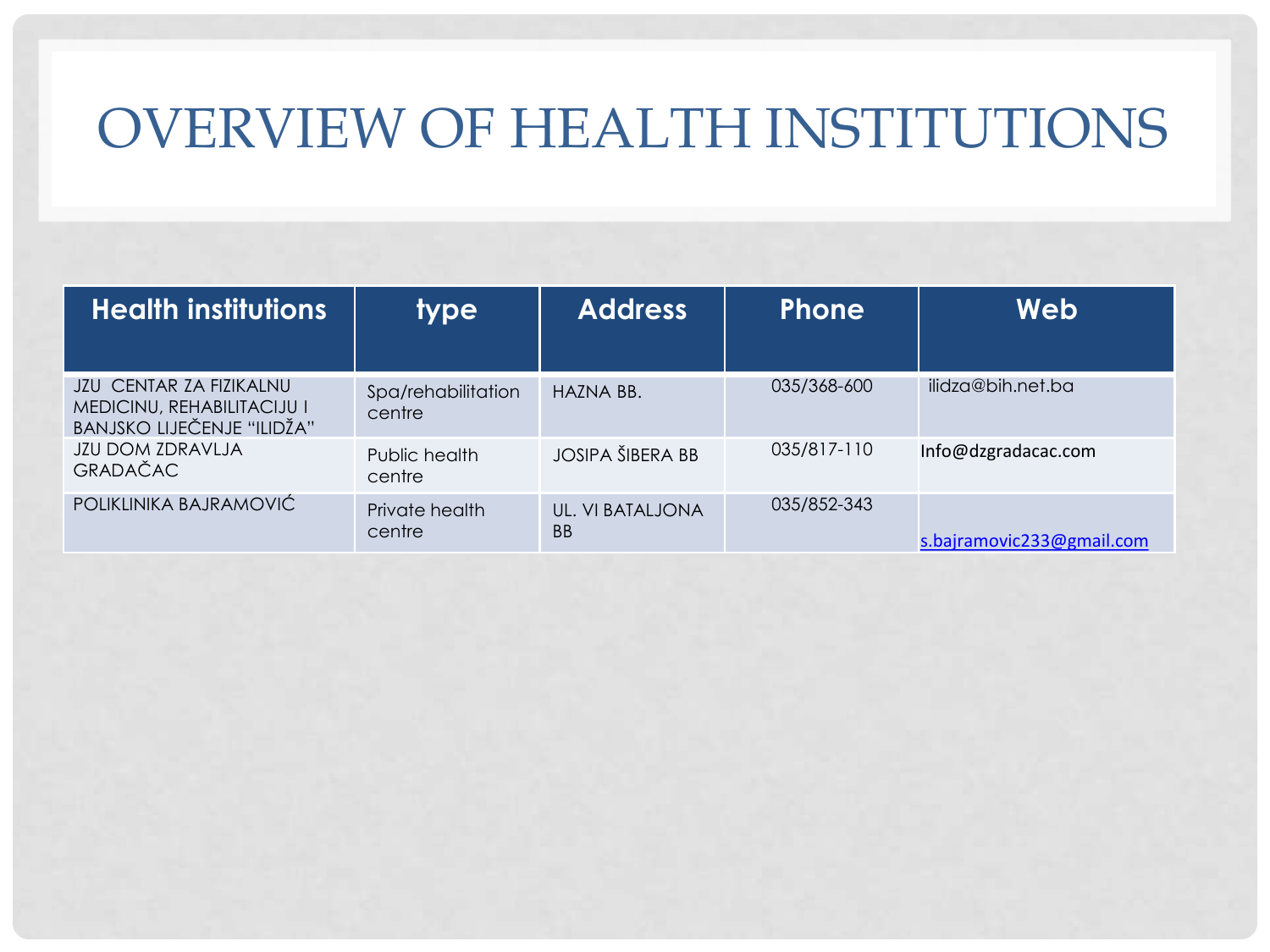### OVERVIEW OF HEALTH INSTITUTIONS

| <b>Health institutions</b>                                                                        | <b>type</b>                  | <b>Address</b>          | <b>Phone</b> | Web                       |
|---------------------------------------------------------------------------------------------------|------------------------------|-------------------------|--------------|---------------------------|
| <b>JZU CENTAR ZA FIZIKALNU</b><br>MEDICINU, REHABILITACIJU I<br><b>BANJSKO LIJEČENJE "ILIDŽA"</b> | Spa/rehabilitation<br>centre | HAZNA BB.               | 035/368-600  | ilidza@bih.net.ba         |
| <b>JZU DOM ZDRAVLJA</b><br><b>GRADAČAC</b>                                                        | Public health<br>centre      | <b>JOSIPA ŠIBERA BB</b> | 035/817-110  | Info@dzgradacac.com       |
| POLIKLINIKA BAJRAMOVIĆ                                                                            | Private health<br>centre     | UL. VI BATALJONA<br>BB  | 035/852-343  | s.bajramovic233@gmail.com |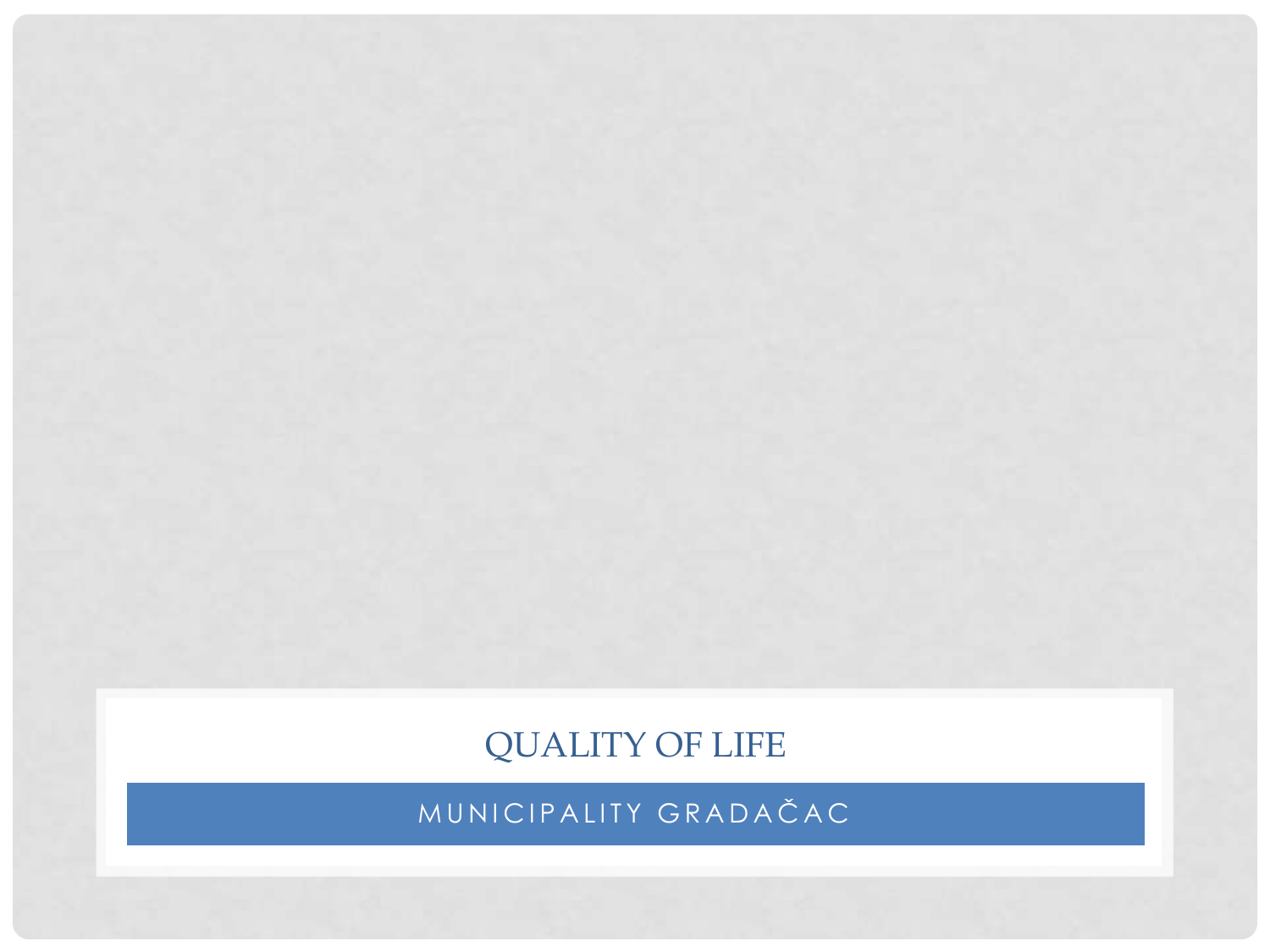QUALITY OF LIFE

MUNICIPALITY GRADAČAC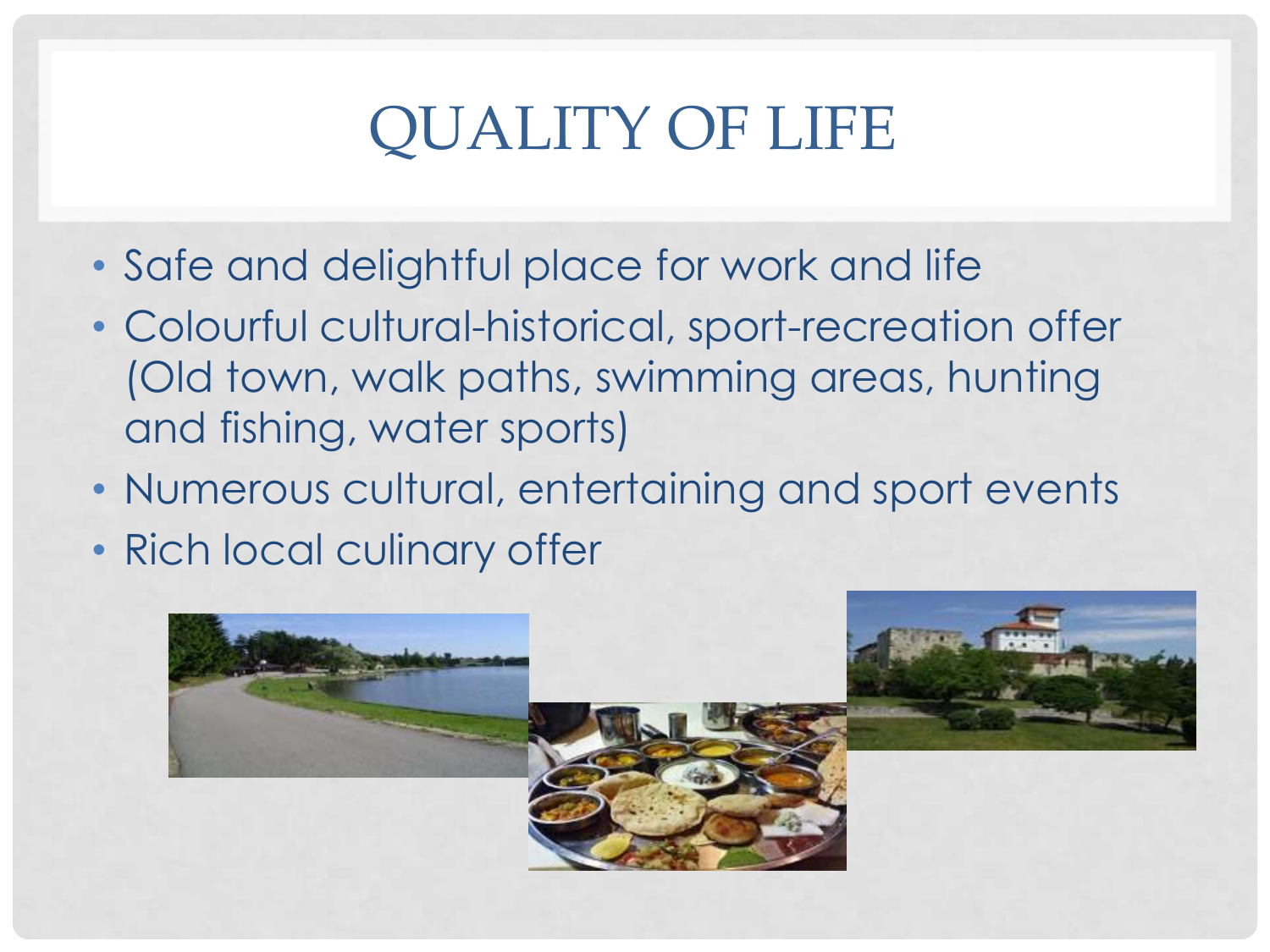# QUALITY OF LIFE

- Safe and delightful place for work and life
- Colourful cultural-historical, sport-recreation offer (Old town, walk paths, swimming areas, hunting and fishing, water sports)
- Numerous cultural, entertaining and sport events
- Rich local culinary offer

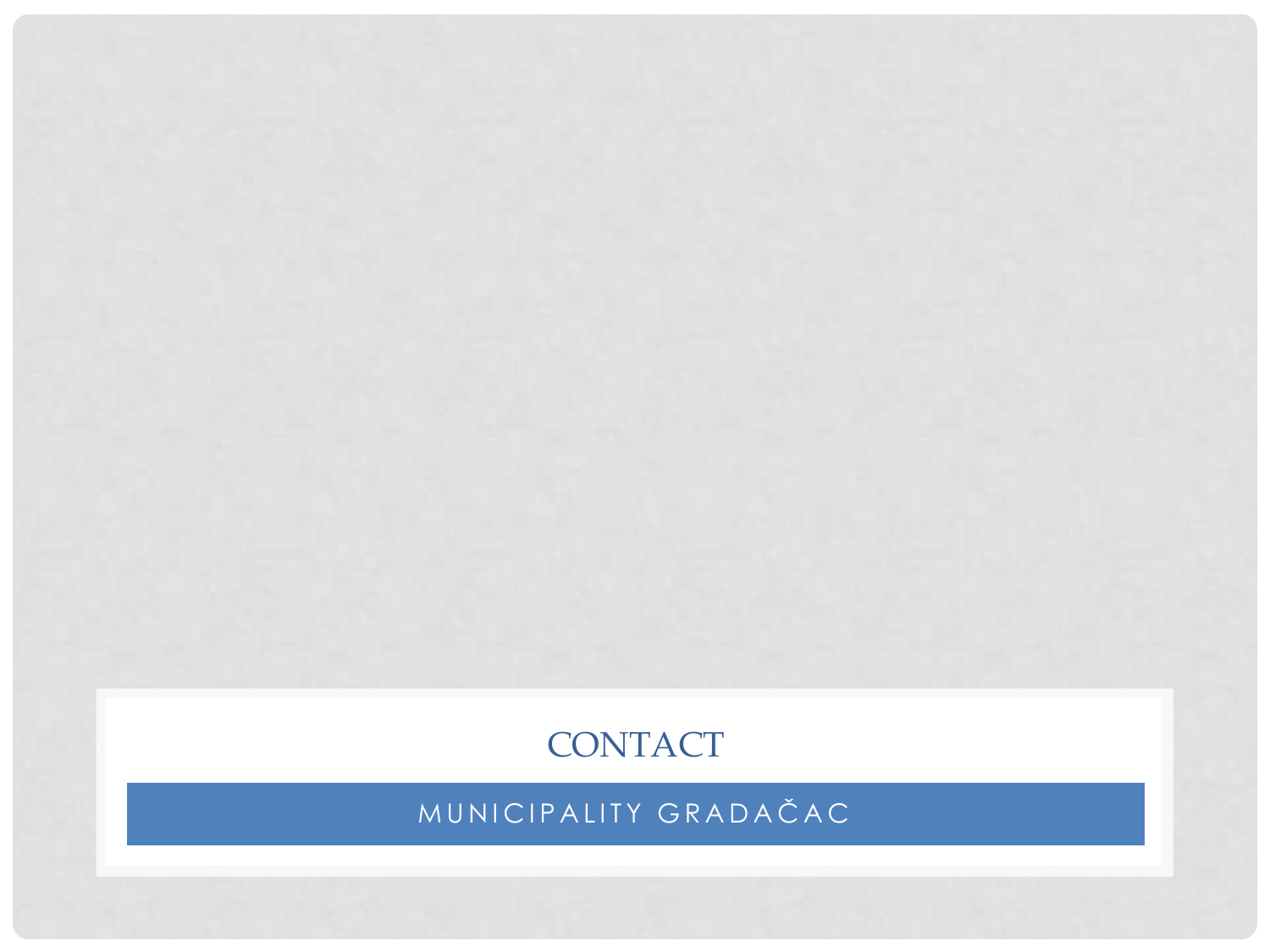### **CONTACT**

MUNICIPALITY GRADAČAC